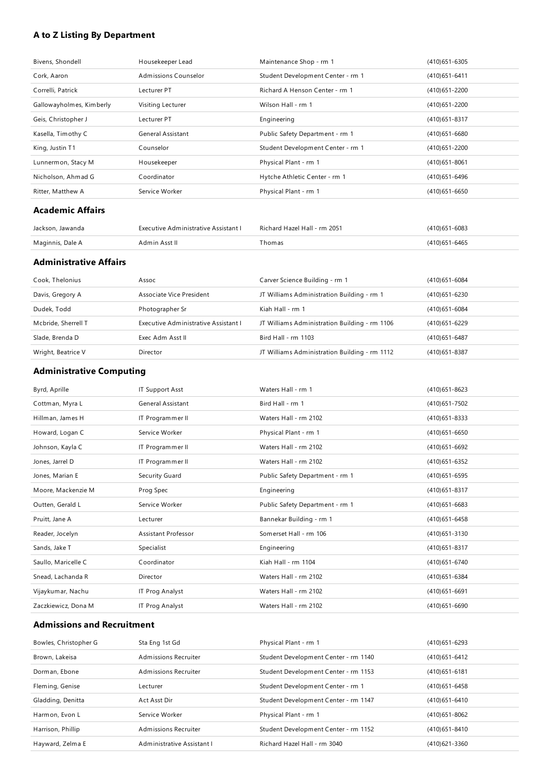### **A to Z Listing By Department**

| Bivens, Shondell         | Housekeeper Lead     | Maintenance Shop - rm 1           | $(410)651 - 6305$ |
|--------------------------|----------------------|-----------------------------------|-------------------|
| Cork, Aaron              | Admissions Counselor | Student Development Center - rm 1 | $(410)651 - 6411$ |
| Correlli, Patrick        | Lecturer PT          | Richard A Henson Center - rm 1    | (410) 651 - 2200  |
| Gallowayholmes, Kimberly | Visiting Lecturer    | Wilson Hall - rm 1                | (410) 651 - 2200  |
| Geis, Christopher J      | Lecturer PT          | Engineering                       | $(410)651 - 8317$ |
| Kasella, Timothy C       | General Assistant    | Public Safety Department - rm 1   | $(410)651 - 6680$ |
| King, Justin T1          | Counselor            | Student Development Center - rm 1 | (410) 651 - 2200  |
| Lunnermon, Stacy M       | Housekeeper          | Physical Plant - rm 1             | $(410)651 - 8061$ |
| Nicholson, Ahmad G       | Coordinator          | Hytche Athletic Center - rm 1     | (410) 651-6496    |
| Ritter, Matthew A        | Service Worker       | Physical Plant - rm 1             | $(410)651 - 6650$ |
| <b>Academic Affairs</b>  |                      |                                   |                   |

| Jackson, Jawanda | Executive Administrative Assistant L | Richard Hazel Hall - rm 2051 | $(410)651 - 6083$ |
|------------------|--------------------------------------|------------------------------|-------------------|
| Maginnis, Dale A | Admin Asst II                        | `homas                       | $(410)651 - 6465$ |

### **Administrative Affairs**

| Cook, Thelonius     | Assoc                                | Carver Science Building - rm 1                | $(410)651 - 6084$ |
|---------------------|--------------------------------------|-----------------------------------------------|-------------------|
| Davis, Gregory A    | Associate Vice President             | JT Williams Administration Building - rm 1    | (410) 651 - 6230  |
| Dudek, Todd         | Photographer Sr                      | Kiah Hall - rm 1                              | $(410)651 - 6084$ |
| Mcbride, Sherrell T | Executive Administrative Assistant I | JT Williams Administration Building - rm 1106 | (410) 651 - 6229  |
| Slade, Brenda D     | Exec Adm Asst II                     | Bird Hall - rm 1103                           | $(410)651 - 6487$ |
| Wright, Beatrice V  | Director                             | JT Williams Administration Building - rm 1112 | $(410)651 - 8387$ |

### **Administrative Computing**

| Byrd, Aprille       | <b>IT Support Asst</b>   | Waters Hall - rm 1              | $(410)651 - 8623$ |
|---------------------|--------------------------|---------------------------------|-------------------|
| Cottman, Myra L     | <b>General Assistant</b> | Bird Hall - rm 1                | (410) 651 - 7502  |
| Hillman, James H    | IT Programmer II         | Waters Hall - rm 2102           | $(410)651 - 8333$ |
| Howard, Logan C     | Service Worker           | Physical Plant - rm 1           | $(410)651 - 6650$ |
| Johnson, Kayla C    | IT Programmer II         | Waters Hall - rm 2102           | $(410)651 - 6692$ |
| Jones, Jarrel D     | IT Programmer II         | Waters Hall - rm 2102           | (410) 651-6352    |
| Jones, Marian E     | Security Guard           | Public Safety Department - rm 1 | $(410)651 - 6595$ |
| Moore, Mackenzie M  | Prog Spec                | Engineering                     | $(410)651 - 8317$ |
| Outten, Gerald L    | Service Worker           | Public Safety Department - rm 1 | $(410)651 - 6683$ |
| Pruitt, Jane A      | Lecturer                 | Bannekar Building - rm 1        | $(410)651 - 6458$ |
| Reader, Jocelyn     | Assistant Professor      | Somerset Hall - rm 106          | (410) 651 - 3130  |
| Sands, Jake T       | Specialist               | Engineering                     | $(410)651 - 8317$ |
| Saullo, Maricelle C | Coordinator              | Kiah Hall - rm 1104             | $(410)651 - 6740$ |
| Snead, Lachanda R   | Director                 | Waters Hall - rm 2102           | (410) 651-6384    |
| Vijaykumar, Nachu   | IT Prog Analyst          | Waters Hall - rm 2102           | $(410)651 - 6691$ |
| Zaczkiewicz, Dona M | IT Prog Analyst          | Waters Hall - rm 2102           | $(410)651 - 6690$ |

### **Admissions and Recruitment**

| Bowles, Christopher G | Sta Eng 1st Gd              | Physical Plant - rm 1                | (410) 651 - 6293  |
|-----------------------|-----------------------------|--------------------------------------|-------------------|
| Brown, Lakeisa        | Admissions Recruiter        | Student Development Center - rm 1140 | (410) 651 - 6412  |
| Dorman, Ebone         | <b>Admissions Recruiter</b> | Student Development Center - rm 1153 | $(410)651 - 6181$ |
| Fleming, Genise       | Lecturer                    | Student Development Center - rm 1    | $(410)651 - 6458$ |
| Gladding, Denitta     | Act Asst Dir                | Student Development Center - rm 1147 | $(410)651 - 6410$ |
| Harmon, Evon L        | Service Worker              | Physical Plant - rm 1                | $(410)651 - 8062$ |
| Harrison, Phillip     | <b>Admissions Recruiter</b> | Student Development Center - rm 1152 | $(410)651 - 8410$ |
| Hayward, Zelma E      | Administrative Assistant I  | Richard Hazel Hall - rm 3040         | (410) 621 - 3360  |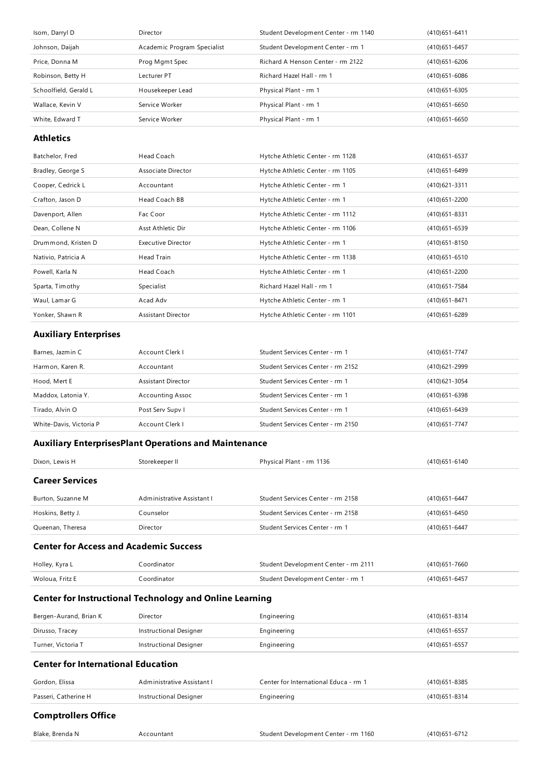| Isom, Darryl D        | Director                    | Student Development Center - rm 1140 | $(410)651 - 6411$ |
|-----------------------|-----------------------------|--------------------------------------|-------------------|
| Johnson, Daijah       | Academic Program Specialist | Student Development Center - rm 1    | (410) 651-6457    |
| Price, Donna M        | Prog Mgmt Spec              | Richard A Henson Center - rm 2122    | (410) 651 - 6206  |
| Robinson, Betty H     | Lecturer PT                 | Richard Hazel Hall - rm 1            | (410) 651-6086    |
| Schoolfield, Gerald L | Housekeeper Lead            | Physical Plant - rm 1                | (410) 651-6305    |
| Wallace, Kevin V      | Service Worker              | Physical Plant - rm 1                | $(410)651 - 6650$ |
| White, Edward T       | Service Worker              | Physical Plant - rm 1                | $(410)651 - 6650$ |
|                       |                             |                                      |                   |

#### **Athletics**

| Batchelor, Fred     | Head Coach                | Hytche Athletic Center - rm 1128 | $(410)651 - 6537$ |
|---------------------|---------------------------|----------------------------------|-------------------|
| Bradley, George S   | Associate Director        | Hytche Athletic Center - rm 1105 | (410) 651 - 6499  |
| Cooper, Cedrick L   | Accountant                | Hytche Athletic Center - rm 1    | $(410)621 - 3311$ |
| Crafton, Jason D    | Head Coach BB             | Hytche Athletic Center - rm 1    | (410) 651 - 2200  |
| Davenport, Allen    | Fac Coor                  | Hytche Athletic Center - rm 1112 | $(410)651 - 8331$ |
| Dean, Collene N     | Asst Athletic Dir         | Hytche Athletic Center - rm 1106 | $(410)651 - 6539$ |
| Drummond, Kristen D | <b>Executive Director</b> | Hytche Athletic Center - rm 1    | $(410)651 - 8150$ |
| Nativio, Patricia A | Head Train                | Hytche Athletic Center - rm 1138 | $(410)651 - 6510$ |
| Powell, Karla N     | Head Coach                | Hytche Athletic Center - rm 1    | (410) 651 - 2200  |
| Sparta, Timothy     | Specialist                | Richard Hazel Hall - rm 1        | (410) 651 - 7584  |
| Waul, Lamar G       | Acad Adv                  | Hytche Athletic Center - rm 1    | (410) 651 - 8471  |
| Yonker, Shawn R     | <b>Assistant Director</b> | Hytche Athletic Center - rm 1101 | (410) 651 - 6289  |

### **Auxiliary Enterprises**

| Barnes, Jazmin C        | Account Clerk I         | Student Services Center - rm 1    | (410) 651 - 7747 |
|-------------------------|-------------------------|-----------------------------------|------------------|
| Harmon, Karen R.        | Accountant              | Student Services Center - rm 2152 | (410)621-2999    |
| Hood, Mert E            | Assistant Director      | Student Services Center - rm 1    | (410) 621 - 3054 |
| Maddox, Latonia Y.      | <b>Accounting Assoc</b> | Student Services Center - rm 1    | (410) 651-6398   |
| Tirado, Alvin O         | Post Serv Supv I        | Student Services Center - rm 1    | (410) 651-6439   |
| White-Davis, Victoria P | Account Clerk I         | Student Services Center - rm 2150 | (410) 651 - 7747 |

### **Auxiliary EnterprisesPlant Operations and Maintenance**

| Dixon, Lewis H         | Storekeeper II             | Physical Plant - rm 1136          | (410) 651 - 6140 |
|------------------------|----------------------------|-----------------------------------|------------------|
| <b>Career Services</b> |                            |                                   |                  |
| Burton, Suzanne M      | Administrative Assistant I | Student Services Center - rm 2158 | (410) 651 - 6447 |
| Hoskins, Betty J.      | Counselor                  | Student Services Center - rm 2158 | (410) 651 - 6450 |
| Queenan, Theresa       | Director                   | Student Services Center - rm 1    | (410) 651 - 6447 |
|                        |                            |                                   |                  |

### **Center for Access and Academic Success**

| Holley, Kyra L  | Coordinator | Student Development Center - rm 2111 | (410) 651 - 7660  |
|-----------------|-------------|--------------------------------------|-------------------|
| Woloua, Fritz E | Coordinator | Student Development Center - rm 1    | $(410)651 - 6457$ |

### **Center for Instructional Technology and Online Learning**

| Bergen-Aurand, Brian K | Director               | Engineering | (410)651-8314 |
|------------------------|------------------------|-------------|---------------|
| Dirusso, Tracey        | Instructional Designer | Engineering | (410)651-6557 |
| Turner, Victoria T     | Instructional Designer | Engineering | (410)651-6557 |

### **Center for International Education**

| Gordon, Elissa       | Administrative Assistant L | Center for International Educa - rm 1 | (410)651-8385 |
|----------------------|----------------------------|---------------------------------------|---------------|
| Passeri, Catherine H | Instructional Designer     | Engineering                           | (410)651-8314 |
|                      |                            |                                       |               |

## **Comptrollers Office**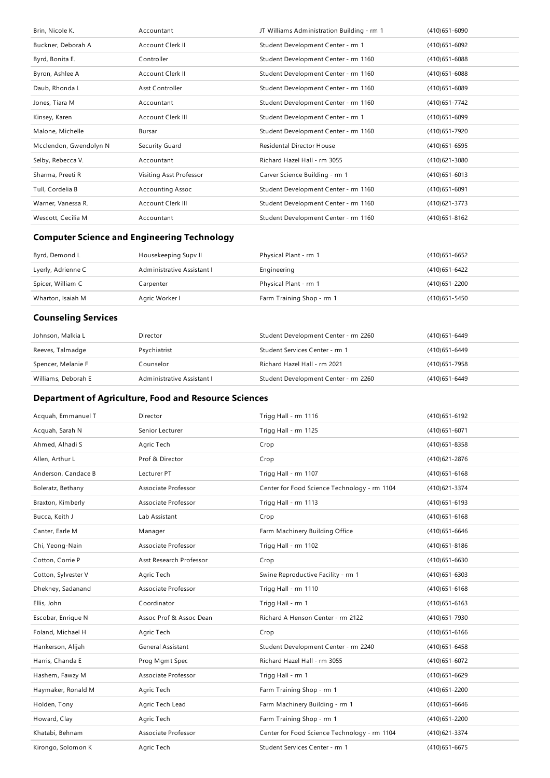| Brin, Nicole K.        | Accountant              | JT Williams Administration Building - rm 1 | $(410)651 - 6090$ |
|------------------------|-------------------------|--------------------------------------------|-------------------|
| Buckner, Deborah A     | Account Clerk II        | Student Development Center - rm 1          | $(410)651 - 6092$ |
| Byrd, Bonita E.        | Controller              | Student Development Center - rm 1160       | $(410)651 - 6088$ |
| Byron, Ashlee A        | Account Clerk II        | Student Development Center - rm 1160       | $(410)651 - 6088$ |
| Daub, Rhonda L         | Asst Controller         | Student Development Center - rm 1160       | $(410)651 - 6089$ |
| Jones, Tiara M         | Accountant              | Student Development Center - rm 1160       | (410) 651 - 7742  |
| Kinsey, Karen          | Account Clerk III       | Student Development Center - rm 1          | $(410)651 - 6099$ |
| Malone, Michelle       | Bursar                  | Student Development Center - rm 1160       | (410) 651 - 7920  |
| Mcclendon, Gwendolyn N | Security Guard          | <b>Residental Director House</b>           | (410) 651 - 6595  |
| Selby, Rebecca V.      | Accountant              | Richard Hazel Hall - rm 3055               | $(410)621 - 3080$ |
| Sharma, Preeti R       | Visiting Asst Professor | Carver Science Building - rm 1             | $(410)651 - 6013$ |
| Tull, Cordelia B       | <b>Accounting Assoc</b> | Student Development Center - rm 1160       | $(410)651 - 6091$ |
| Warner, Vanessa R.     | Account Clerk III       | Student Development Center - rm 1160       | (410) 621 - 3773  |
| Wescott, Cecilia M     | Accountant              | Student Development Center - rm 1160       | $(410)651 - 8162$ |

## **Computer Science and Engineering Technology**

| Byrd, Demond L     | Housekeeping Supy II       | Physical Plant - rm 1     | (410)651-6652 |
|--------------------|----------------------------|---------------------------|---------------|
| Lyerly, Adrienne C | Administrative Assistant I | Engineering               | (410)651-6422 |
| Spicer, William C  | Carpenter                  | Physical Plant - rm 1     | (410)651-2200 |
| Wharton, Isaiah M  | Agric Worker I             | Farm Training Shop - rm 1 | (410)651-5450 |

## **Counseling Services**

| Johnson, Malkia L   | Director                   | Student Development Center - rm 2260 | (410)651-6449    |
|---------------------|----------------------------|--------------------------------------|------------------|
| Reeves, Talmadge    | Psychiatrist               | Student Services Center - rm 1       | (410) 651 - 6449 |
| Spencer, Melanie F  | Counselor                  | Richard Hazel Hall - rm 2021         | (410)651-7958    |
| Williams, Deborah E | Administrative Assistant I | Student Development Center - rm 2260 | (410)651-6449    |

## **Department of Agriculture,Food and Resource Sciences**

| Acquah, Emmanuel T  | <b>Director</b>          | Trigg Hall - rm 1116                         | (410) 651-6192    |
|---------------------|--------------------------|----------------------------------------------|-------------------|
| Acquah, Sarah N     | Senior Lecturer          | Trigg Hall - rm 1125                         | $(410)651 - 6071$ |
| Ahmed, Alhadi S     | Agric Tech               | Crop                                         | $(410)651 - 8358$ |
| Allen, Arthur L     | Prof & Director          | Crop                                         | (410) 621-2876    |
| Anderson, Candace B | Lecturer PT              | Trigg Hall - rm 1107                         | $(410)651 - 6168$ |
| Boleratz, Bethany   | Associate Professor      | Center for Food Science Technology - rm 1104 | (410) 621-3374    |
| Braxton, Kimberly   | Associate Professor      | Trigg Hall - rm 1113                         | (410) 651-6193    |
| Bucca, Keith J      | Lab Assistant            | Crop                                         | $(410)651 - 6168$ |
| Canter, Earle M     | Manager                  | Farm Machinery Building Office               | $(410)651 - 6646$ |
| Chi, Yeong-Nain     | Associate Professor      | Trigg Hall - rm 1102                         | $(410)651 - 8186$ |
| Cotton, Corrie P    | Asst Research Professor  | Crop                                         | $(410)651 - 6630$ |
| Cotton, Sylvester V | Agric Tech               | Swine Reproductive Facility - rm 1           | $(410)651 - 6303$ |
| Dhekney, Sadanand   | Associate Professor      | Trigg Hall - rm 1110                         | $(410)651 - 6168$ |
| Ellis, John         | Coordinator              | Trigg Hall - rm 1                            | $(410)651 - 6163$ |
| Escobar, Enrique N  | Assoc Prof & Assoc Dean  | Richard A Henson Center - rm 2122            | (410) 651 - 7930  |
|                     |                          |                                              |                   |
| Foland, Michael H   | Agric Tech               | Crop                                         | $(410)651 - 6166$ |
| Hankerson, Alijah   | <b>General Assistant</b> | Student Development Center - rm 2240         | $(410)651 - 6458$ |
| Harris, Chanda E    | Prog Mgmt Spec           | Richard Hazel Hall - rm 3055                 | (410) 651-6072    |
| Hashem, Fawzy M     | Associate Professor      | Trigg Hall - rm 1                            | (410) 651-6629    |
| Haymaker, Ronald M  | Agric Tech               | Farm Training Shop - rm 1                    | (410) 651 - 2200  |
| Holden, Tony        | Agric Tech Lead          | Farm Machinery Building - rm 1               | $(410)651 - 6646$ |
| Howard, Clay        | Agric Tech               | Farm Training Shop - rm 1                    | (410) 651 - 2200  |
| Khatabi, Behnam     | Associate Professor      | Center for Food Science Technology - rm 1104 | (410) 621-3374    |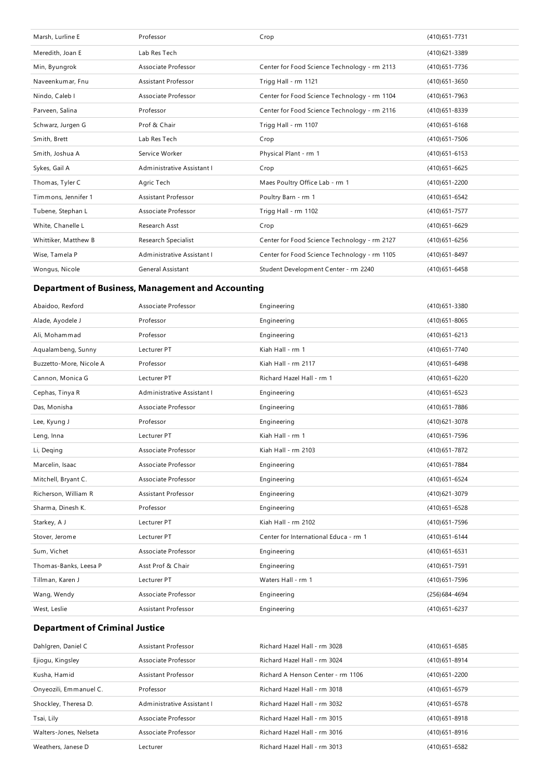| Marsh, Lurline E     | Professor                  | Crop                                         | (410) 651 - 7731  |
|----------------------|----------------------------|----------------------------------------------|-------------------|
| Meredith, Joan E     | Lab Res Tech               |                                              | (410) 621 - 3389  |
| Min, Byungrok        | Associate Professor        | Center for Food Science Technology - rm 2113 | (410) 651 - 7736  |
| Naveenkumar, Fnu     | <b>Assistant Professor</b> | Trigg Hall - rm 1121                         | $(410)651 - 3650$ |
| Nindo, Caleb I       | Associate Professor        | Center for Food Science Technology - rm 1104 | $(410)651 - 7963$ |
| Parveen, Salina      | Professor                  | Center for Food Science Technology - rm 2116 | (410) 651-8339    |
| Schwarz, Jurgen G    | Prof & Chair               | Trigg Hall - rm 1107                         | $(410)651 - 6168$ |
| Smith, Brett         | Lab Res Tech               | Crop                                         | $(410)651 - 7506$ |
| Smith, Joshua A      | Service Worker             | Physical Plant - rm 1                        | $(410)651 - 6153$ |
| Sykes, Gail A        | Administrative Assistant I | Crop                                         | $(410)651 - 6625$ |
| Thomas, Tyler C      | Agric Tech                 | Maes Poultry Office Lab - rm 1               | (410) 651 - 2200  |
| Timmons, Jennifer 1  | Assistant Professor        | Poultry Barn - rm 1                          | (410) 651-6542    |
| Tubene, Stephan L    | Associate Professor        | Trigg Hall - rm 1102                         | (410) 651 - 7577  |
| White, Chanelle L    | Research Asst              | Crop                                         | $(410)651 - 6629$ |
| Whittiker, Matthew B | Research Specialist        | Center for Food Science Technology - rm 2127 | $(410)651 - 6256$ |
| Wise, Tamela P       | Administrative Assistant I | Center for Food Science Technology - rm 1105 | $(410)651 - 8497$ |
| Wongus, Nicole       | <b>General Assistant</b>   | Student Development Center - rm 2240         | $(410)651 - 6458$ |

## **Department of Business, Management and Accounting**

| Abaidoo, Rexford        | Associate Professor        | Engineering                           | (410) 651 - 3380  |
|-------------------------|----------------------------|---------------------------------------|-------------------|
| Alade, Ayodele J        | Professor                  | Engineering                           | $(410)651 - 8065$ |
| Ali, Mohammad           | Professor                  | Engineering                           | $(410)651 - 6213$ |
| Aqualambeng, Sunny      | Lecturer PT                | Kiah Hall - rm 1                      | (410) 651 - 7740  |
| Buzzetto-More, Nicole A | Professor                  | Kiah Hall - rm 2117                   | $(410)651 - 6498$ |
| Cannon, Monica G        | Lecturer PT                | Richard Hazel Hall - rm 1             | (410) 651-6220    |
| Cephas, Tinya R         | Administrative Assistant I | Engineering                           | $(410)651 - 6523$ |
| Das, Monisha            | Associate Professor        | Engineering                           | (410) 651 - 7886  |
| Lee, Kyung J            | Professor                  | Engineering                           | (410) 621-3078    |
| Leng, Inna              | Lecturer PT                | Kiah Hall - rm 1                      | (410) 651 - 7596  |
| Li, Deging              | Associate Professor        | Kiah Hall - rm 2103                   | (410) 651 - 7872  |
| Marcelin, Isaac         | Associate Professor        | Engineering                           | (410) 651 - 7884  |
| Mitchell, Bryant C.     | Associate Professor        | Engineering                           | (410) 651-6524    |
| Richerson, William R    | <b>Assistant Professor</b> | Engineering                           | (410) 621-3079    |
| Sharma, Dinesh K.       | Professor                  | Engineering                           | $(410)651 - 6528$ |
| Starkey, A J            | Lecturer PT                | Kiah Hall - rm 2102                   | (410) 651 - 7596  |
| Stover, Jerome          | Lecturer PT                | Center for International Educa - rm 1 | (410) 651-6144    |
| Sum, Vichet             | Associate Professor        | Engineering                           | (410) 651-6531    |
| Thomas-Banks, Leesa P   | Asst Prof & Chair          | Engineering                           | (410) 651 - 7591  |
| Tillman, Karen J        | Lecturer PT                | Waters Hall - rm 1                    | (410) 651 - 7596  |
| Wang, Wendy             | Associate Professor        | Engineering                           | (256) 684-4694    |
| West, Leslie            | <b>Assistant Professor</b> | Engineering                           | (410) 651-6237    |

## **Department of Criminal Justice**

| Dahlgren, Daniel C     | Assistant Professor        | Richard Hazel Hall - rm 3028      | (410) 651 - 6585  |
|------------------------|----------------------------|-----------------------------------|-------------------|
| Ejiogu, Kingsley       | Associate Professor        | Richard Hazel Hall - rm 3024      | $(410)651 - 8914$ |
| Kusha, Hamid           | Assistant Professor        | Richard A Henson Center - rm 1106 | (410) 651 - 2200  |
| Onyeozili, Emmanuel C. | Professor                  | Richard Hazel Hall - rm 3018      | (410) 651-6579    |
| Shockley, Theresa D.   | Administrative Assistant I | Richard Hazel Hall - rm 3032      | (410) 651-6578    |
| Tsai, Lily             | Associate Professor        | Richard Hazel Hall - rm 3015      | $(410)651 - 8918$ |
| Walters-Jones, Nelseta | Associate Professor        | Richard Hazel Hall - rm 3016      | (410) 651 - 8916  |
| Weathers, Janese D     | Lecturer                   | Richard Hazel Hall - rm 3013      | $(410)651 - 6582$ |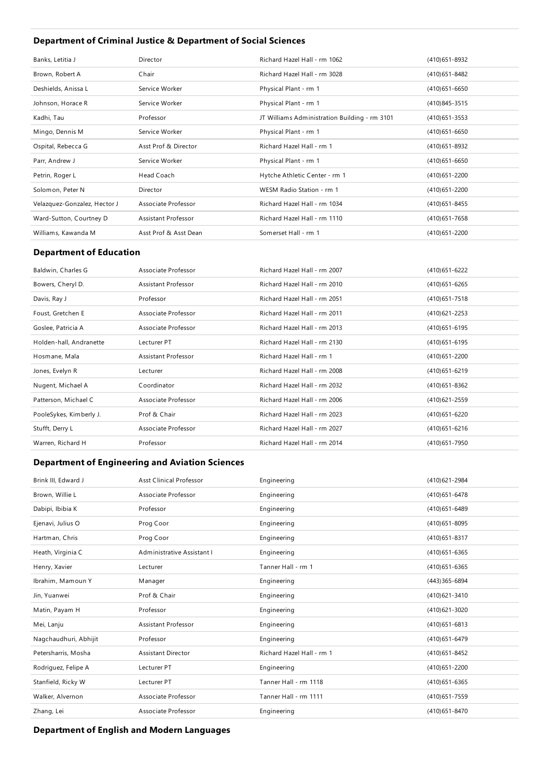## **Department of Criminal Justice & Department of Social Sciences**

| Banks, Letitia J             | Director              | Richard Hazel Hall - rm 1062                  | (410) 651 - 8932  |
|------------------------------|-----------------------|-----------------------------------------------|-------------------|
| Brown, Robert A              | Chair                 | Richard Hazel Hall - rm 3028                  | (410) 651 - 8482  |
| Deshields, Anissa L          | Service Worker        | Physical Plant - rm 1                         | $(410)651 - 6650$ |
| Johnson, Horace R            | Service Worker        | Physical Plant - rm 1                         | (410) 845 - 3515  |
| Kadhi, Tau                   | Professor             | JT Williams Administration Building - rm 3101 | $(410)651 - 3553$ |
| Mingo, Dennis M              | Service Worker        | Physical Plant - rm 1                         | $(410)651 - 6650$ |
| Ospital, Rebecca G           | Asst Prof & Director  | Richard Hazel Hall - rm 1                     | (410) 651-8932    |
| Parr, Andrew J               | Service Worker        | Physical Plant - rm 1                         | $(410)651 - 6650$ |
| Petrin, Roger L              | Head Coach            | Hytche Athletic Center - rm 1                 | (410) 651 - 2200  |
| Solomon, Peter N             | <b>Director</b>       | WESM Radio Station - rm 1                     | (410) 651 - 2200  |
| Velazquez-Gonzalez, Hector J | Associate Professor   | Richard Hazel Hall - rm 1034                  | $(410)651 - 8455$ |
| Ward-Sutton, Courtney D      | Assistant Professor   | Richard Hazel Hall - rm 1110                  | $(410)651 - 7658$ |
| Williams, Kawanda M          | Asst Prof & Asst Dean | Somerset Hall - rm 1                          | (410) 651 - 2200  |

### **Department of Education**

| Baldwin, Charles G      | Associate Professor | Richard Hazel Hall - rm 2007 | $(410)651 - 6222$ |
|-------------------------|---------------------|------------------------------|-------------------|
| Bowers, Cheryl D.       | Assistant Professor | Richard Hazel Hall - rm 2010 | $(410)651 - 6265$ |
| Davis, Ray J            | Professor           | Richard Hazel Hall - rm 2051 | $(410)651 - 7518$ |
| Foust, Gretchen E       | Associate Professor | Richard Hazel Hall - rm 2011 | $(410)621 - 2253$ |
| Goslee, Patricia A      | Associate Professor | Richard Hazel Hall - rm 2013 | (410) 651 - 6195  |
| Holden-hall, Andranette | Lecturer PT         | Richard Hazel Hall - rm 2130 | (410) 651 - 6195  |
| Hosmane, Mala           | Assistant Professor | Richard Hazel Hall - rm 1    | (410) 651 - 2200  |
| Jones, Evelyn R         | Lecturer            | Richard Hazel Hall - rm 2008 | (410) 651-6219    |
| Nugent, Michael A       | Coordinator         | Richard Hazel Hall - rm 2032 | (410) 651-8362    |
| Patterson, Michael C    | Associate Professor | Richard Hazel Hall - rm 2006 | (410) 621 - 2559  |
| PooleSykes, Kimberly J. | Prof & Chair        | Richard Hazel Hall - rm 2023 | (410) 651 - 6220  |
| Stufft, Derry L         | Associate Professor | Richard Hazel Hall - rm 2027 | $(410)651 - 6216$ |
| Warren, Richard H       | Professor           | Richard Hazel Hall - rm 2014 | (410) 651 - 7950  |

### **Department ofEngineering and Aviation Sciences**

| Brink III, Edward J   | <b>Asst Clinical Professor</b> | Engineering               | (410) 621-2984    |
|-----------------------|--------------------------------|---------------------------|-------------------|
| Brown, Willie L       | Associate Professor            | Engineering               | (410) 651-6478    |
| Dabipi, Ibibia K      | Professor                      | Engineering               | (410) 651-6489    |
| Ejenavi, Julius O     | Prog Coor                      | Engineering               | (410) 651-8095    |
| Hartman, Chris        | Prog Coor                      | Engineering               | (410) 651-8317    |
| Heath, Virginia C     | Administrative Assistant I     | Engineering               | $(410)651 - 6365$ |
| Henry, Xavier         | Lecturer                       | Tanner Hall - rm 1        | $(410)651 - 6365$ |
| Ibrahim, Mamoun Y     | Manager                        | Engineering               | (443) 365-6894    |
| Jin, Yuanwei          | Prof & Chair                   | Engineering               | (410) 621 - 3410  |
| Matin, Payam H        | Professor                      | Engineering               | (410) 621 - 3020  |
| Mei, Lanju            | <b>Assistant Professor</b>     | Engineering               | $(410)651 - 6813$ |
| Nagchaudhuri, Abhijit | Professor                      | Engineering               | (410) 651-6479    |
| Petersharris, Mosha   | <b>Assistant Director</b>      | Richard Hazel Hall - rm 1 | (410) 651-8452    |
| Rodriguez, Felipe A   | Lecturer PT                    | Engineering               | (410) 651 - 2200  |
| Stanfield, Ricky W    | Lecturer PT                    | Tanner Hall - rm 1118     | $(410)651 - 6365$ |
| Walker, Alvernon      | Associate Professor            | Tanner Hall - rm 1111     | (410) 651 - 7559  |
| Zhang, Lei            | Associate Professor            | Engineering               | (410) 651-8470    |

### **Department ofEnglish and Modern Languages**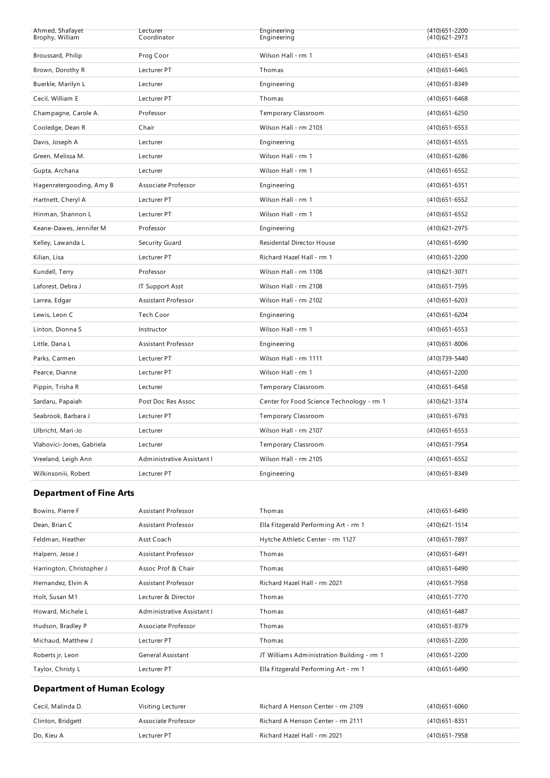| Ahmed, Shafayet<br>Brophy, William | Lecturer<br>Coordinator    | Engineering<br>Engineering                | (410) 651 - 2200<br>(410) 621 - 2973 |
|------------------------------------|----------------------------|-------------------------------------------|--------------------------------------|
| Broussard, Philip                  | Prog Coor                  | Wilson Hall - rm 1                        | $(410)651 - 6543$                    |
| Brown, Dorothy R                   | Lecturer PT                | Thomas                                    | $(410)651 - 6465$                    |
| Buerkle, Marilyn L                 | Lecturer                   | Engineering                               | (410) 651 - 8349                     |
| Cecil, William E                   | Lecturer PT                | Thomas                                    | $(410)651 - 6468$                    |
| Champagne, Carole A.               | Professor                  | Temporary Classroom                       | $(410)651 - 6250$                    |
| Cooledge, Dean R                   | Chair                      | Wilson Hall - rm 2103                     | $(410)651 - 6553$                    |
| Davis, Joseph A                    | Lecturer                   | Engineering                               | $(410)651 - 6555$                    |
| Green, Melissa M.                  | Lecturer                   | Wilson Hall - rm 1                        | $(410)651 - 6286$                    |
| Gupta, Archana                     | Lecturer                   | Wilson Hall - rm 1                        | $(410)651 - 6552$                    |
| Hagenratergooding, Amy B           | Associate Professor        | Engineering                               | $(410)651 - 6351$                    |
| Hartnett, Cheryl A                 | Lecturer PT                | Wilson Hall - rm 1                        | $(410)651 - 6552$                    |
| Hinman, Shannon L                  | Lecturer PT                | Wilson Hall - rm 1                        | (410) 651-6552                       |
| Keane-Dawes, Jennifer M            | Professor                  | Engineering                               | (410) 621 - 2975                     |
| Kelley, Lawanda L                  | Security Guard             | <b>Residental Director House</b>          | $(410)651 - 6590$                    |
| Kilian, Lisa                       | Lecturer PT                | Richard Hazel Hall - rm 1                 | $(410)651 - 2200$                    |
| Kundell, Terry                     | Professor                  | Wilson Hall - rm 1108                     | (410) 621 - 3071                     |
| Laforest, Debra J                  | <b>IT Support Asst</b>     | Wilson Hall - rm 2108                     | (410) 651 - 7595                     |
| Larrea, Edgar                      | <b>Assistant Professor</b> | Wilson Hall - rm 2102                     | $(410)651 - 6203$                    |
| Lewis, Leon C                      | Tech Coor                  | Engineering                               | (410) 651-6204                       |
| Linton, Dionna S                   | Instructor                 | Wilson Hall - rm 1                        | $(410)651 - 6553$                    |
| Little, Dana L                     | <b>Assistant Professor</b> | Engineering                               | $(410)651 - 8006$                    |
| Parks, Carmen                      | Lecturer PT                | Wilson Hall - rm 1111                     | (410) 739-5440                       |
| Pearce, Dianne                     | Lecturer PT                | Wilson Hall - rm 1                        | (410) 651 - 2200                     |
| Pippin, Trisha R                   | Lecturer                   | Temporary Classroom                       | $(410)651 - 6458$                    |
| Sardaru, Papaiah                   | Post Doc Res Assoc         | Center for Food Science Technology - rm 1 | (410) 621 - 3374                     |
| Seabrook, Barbara J                | Lecturer PT                | Temporary Classroom                       | (410) 651-6793                       |
| Ulbricht, Mari-Jo                  | Lecturer                   | Wilson Hall - rm 2107                     | $(410)651 - 6553$                    |
| Vlahovici-Jones, Gabriela          | Lecturer                   | Temporary Classroom                       | (410) 651 - 7954                     |
| Vreeland, Leigh Ann                | Administrative Assistant I | Wilson Hall - rm 2105                     | $(410)651 - 6552$                    |
| Wilkinsoniii, Robert               | Lecturer PT                | Engineering                               | (410) 651 - 8349                     |

## **Department of Fine Arts**

| Bowins, Pierre F          | Assistant Professor        | Thomas                                     | (410) 651-6490    |
|---------------------------|----------------------------|--------------------------------------------|-------------------|
| Dean, Brian C             | Assistant Professor        | Ella Fitzgerald Performing Art - rm 1      | (410) 621 - 1514  |
| Feldman, Heather          | Asst Coach                 | Hytche Athletic Center - rm 1127           | (410) 651 - 7897  |
| Halpern, Jesse J          | Assistant Professor        | Thomas                                     | $(410)651 - 6491$ |
| Harrington, Christopher J | Assoc Prof & Chair         | Thomas                                     | (410) 651 - 6490  |
| Hernandez, Elvin A        | Assistant Professor        | Richard Hazel Hall - rm 2021               | (410) 651 - 7958  |
| Holt, Susan M1            | Lecturer & Director        | Thomas                                     | (410) 651 - 7770  |
| Howard, Michele L         | Administrative Assistant I | Thomas                                     | $(410)651 - 6487$ |
| Hudson, Bradley P         | Associate Professor        | Thomas                                     | (410) 651 - 8379  |
| Michaud, Matthew J        | Lecturer PT                | Thomas                                     | (410) 651 - 2200  |
| Roberts jr, Leon          | <b>General Assistant</b>   | JT Williams Administration Building - rm 1 | (410) 651 - 2200  |
| Taylor, Christy L         | Lecturer PT                | Ella Fitzgerald Performing Art - rm 1      | (410) 651 - 6490  |

# **Department of Human Ecology**

| Cecil, Malinda D. | Visiting Lecturer   | Richard A Henson Center - rm 2109 | (410) 651-6060   |
|-------------------|---------------------|-----------------------------------|------------------|
| Clinton, Bridgett | Associate Professor | Richard A Henson Center - rm 2111 | (410) 651 - 8351 |
| Do. Kieu A        | Lecturer PT         | Richard Hazel Hall - rm 2021      | (410) 651 - 7958 |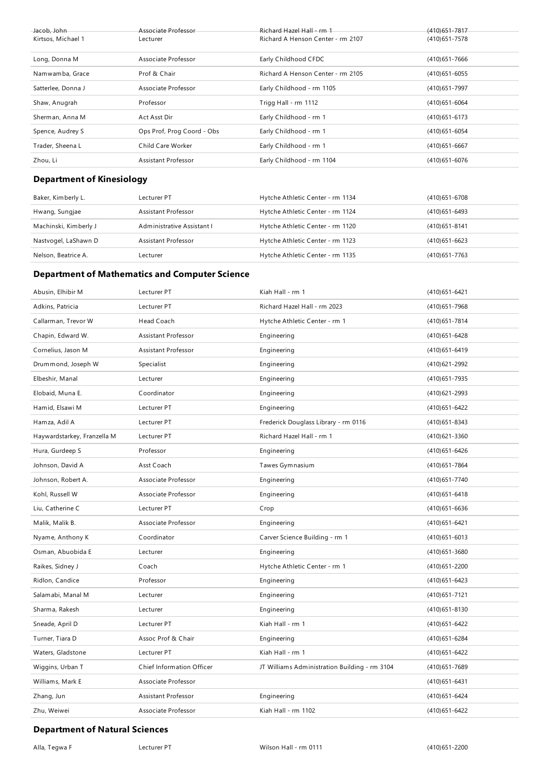| Jacob, John<br>Kirtsos, Michael 1 | Associate Professor<br>Lecturer | Richard Hazel Hall - rm 1<br>Richard A Henson Center - rm 2107 | $(410)651 - 7817$<br>(410) 651 - 7578 |
|-----------------------------------|---------------------------------|----------------------------------------------------------------|---------------------------------------|
| Long, Donna M                     | Associate Professor             | Early Childhood CFDC                                           | $(410)651 - 7666$                     |
| Namwamba, Grace                   | Prof & Chair                    | Richard A Henson Center - rm 2105                              | $(410)651 - 6055$                     |
| Satterlee, Donna J                | Associate Professor             | Early Childhood - rm 1105                                      | (410) 651 - 7997                      |
| Shaw, Anugrah                     | Professor                       | Trigg Hall - rm 1112                                           | $(410)651 - 6064$                     |
| Sherman, Anna M                   | Act Asst Dir                    | Early Childhood - rm 1                                         | $(410)651 - 6173$                     |
| Spence, Audrey S                  | Ops Prof, Prog Coord - Obs      | Early Childhood - rm 1                                         | $(410)651 - 6054$                     |
| Trader, Sheena L                  | Child Care Worker               | Early Childhood - rm 1                                         | $(410)651 - 6667$                     |
| Zhou, Li                          | Assistant Professor             | Early Childhood - rm 1104                                      | (410) 651-6076                        |

## **Department of Kinesiology**

| Baker, Kimberly L.    | Lecturer PT                | Hytche Athletic Center - rm 1134 | (410)651-6708     |
|-----------------------|----------------------------|----------------------------------|-------------------|
| Hwang, Sungjae        | Assistant Professor        | Hytche Athletic Center - rm 1124 | (410)651-6493     |
| Machinski, Kimberly J | Administrative Assistant I | Hytche Athletic Center - rm 1120 | $(410)651 - 8141$ |
| Nastvogel, LaShawn D  | Assistant Professor        | Hytche Athletic Center - rm 1123 | (410) 651 - 6623  |
| Nelson, Beatrice A.   | Lecturer                   | Hytche Athletic Center - rm 1135 | (410) 651 - 7763  |

## **Department of Mathematics and Computer Science**

| Abusin, Elhibir M           | Lecturer PT                | Kiah Hall - rm 1                              | (410) 651 - 6421  |
|-----------------------------|----------------------------|-----------------------------------------------|-------------------|
| Adkins, Patricia            | Lecturer PT                | Richard Hazel Hall - rm 2023                  | (410) 651 - 7968  |
| Callarman, Trevor W         | Head Coach                 | Hytche Athletic Center - rm 1                 | (410) 651 - 7814  |
| Chapin, Edward W.           | Assistant Professor        | Engineering                                   | (410) 651-6428    |
| Cornelius, Jason M          | Assistant Professor        | Engineering                                   | (410) 651 - 6419  |
| Drummond, Joseph W          | Specialist                 | Engineering                                   | (410) 621 - 2992  |
| Elbeshir, Manal             | Lecturer                   | Engineering                                   | (410) 651 - 7935  |
| Elobaid, Muna E.            | Coordinator                | Engineering                                   | (410) 621 - 2993  |
| Hamid, Elsawi M             | Lecturer PT                | Engineering                                   | (410) 651 - 6422  |
| Hamza, Adil A               | Lecturer PT                | Frederick Douglass Library - rm 0116          | (410) 651 - 8343  |
| Haywardstarkey, Franzella M | Lecturer PT                | Richard Hazel Hall - rm 1                     | (410) 621 - 3360  |
| Hura, Gurdeep S             | Professor                  | Engineering                                   | (410) 651 - 6426  |
| Johnson, David A            | Asst Coach                 | Tawes Gymnasium                               | (410) 651 - 7864  |
| Johnson, Robert A.          | Associate Professor        | Engineering                                   | (410) 651 - 7740  |
| Kohl, Russell W             | Associate Professor        | Engineering                                   | $(410)651 - 6418$ |
| Liu, Catherine C            | Lecturer PT                | Crop                                          | (410) 651-6636    |
| Malik, Malik B.             | Associate Professor        | Engineering                                   | (410) 651 - 6421  |
| Nyame, Anthony K            | Coordinator                | Carver Science Building - rm 1                | $(410)651 - 6013$ |
| Osman, Abuobida E           | Lecturer                   | Engineering                                   | (410) 651 - 3680  |
| Raikes, Sidney J            | Coach                      | Hytche Athletic Center - rm 1                 | (410) 651 - 2200  |
| Ridlon, Candice             | Professor                  | Engineering                                   | (410) 651 - 6423  |
| Salamabi, Manal M           | Lecturer                   | Engineering                                   | (410) 651 - 7121  |
| Sharma, Rakesh              | Lecturer                   | Engineering                                   | $(410)651 - 8130$ |
| Sneade, April D             | Lecturer PT                | Kiah Hall - rm 1                              | (410) 651-6422    |
| Turner, Tiara D             | Assoc Prof & Chair         | Engineering                                   | (410) 651 - 6284  |
| Waters, Gladstone           | Lecturer PT                | Kiah Hall - rm 1                              | (410) 651 - 6422  |
| Wiggins, Urban T            | Chief Information Officer  | JT Williams Administration Building - rm 3104 | (410) 651 - 7689  |
|                             |                            |                                               |                   |
| Williams, Mark E            | Associate Professor        |                                               | (410) 651 - 6431  |
| Zhang, Jun                  | <b>Assistant Professor</b> | Engineering                                   | (410) 651 - 6424  |
| Zhu, Weiwei                 | Associate Professor        | Kiah Hall - rm 1102                           | (410) 651 - 6422  |

### **Department of Natural Sciences**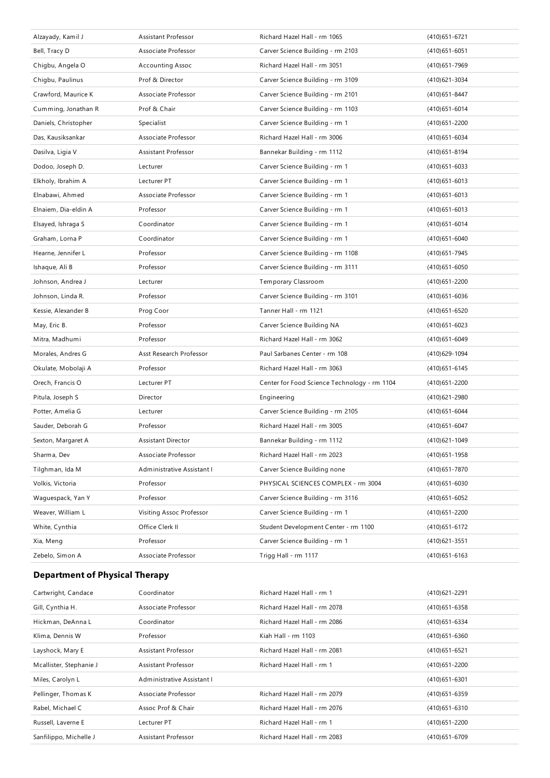| Alzayady, Kamil J    | Assistant Professor        | Richard Hazel Hall - rm 1065                 | (410) 651-6721    |
|----------------------|----------------------------|----------------------------------------------|-------------------|
| Bell, Tracy D        | Associate Professor        | Carver Science Building - rm 2103            | $(410)651 - 6051$ |
| Chigbu, Angela O     | <b>Accounting Assoc</b>    | Richard Hazel Hall - rm 3051                 | (410) 651 - 7969  |
| Chigbu, Paulinus     | Prof & Director            | Carver Science Building - rm 3109            | (410)621-3034     |
| Crawford, Maurice K  | Associate Professor        | Carver Science Building - rm 2101            | (410) 651 - 8447  |
| Cumming, Jonathan R  | Prof & Chair               | Carver Science Building - rm 1103            | (410) 651 - 6014  |
| Daniels, Christopher | Specialist                 | Carver Science Building - rm 1               | (410) 651 - 2200  |
| Das, Kausiksankar    | Associate Professor        | Richard Hazel Hall - rm 3006                 | (410) 651 - 6034  |
| Dasilva, Ligia V     | <b>Assistant Professor</b> | Bannekar Building - rm 1112                  | (410) 651 - 8194  |
| Dodoo, Joseph D.     | Lecturer                   | Carver Science Building - rm 1               | $(410)651 - 6033$ |
| Elkholy, Ibrahim A   | Lecturer PT                | Carver Science Building - rm 1               | (410) 651 - 6013  |
| Elnabawi, Ahmed      | Associate Professor        | Carver Science Building - rm 1               | $(410)651 - 6013$ |
| Elnaiem, Dia-eldin A | Professor                  | Carver Science Building - rm 1               | $(410)651 - 6013$ |
| Elsayed, Ishraga S   | Coordinator                | Carver Science Building - rm 1               | (410) 651 - 6014  |
| Graham, Lorna P      | Coordinator                | Carver Science Building - rm 1               | $(410)651 - 6040$ |
| Hearne, Jennifer L   | Professor                  | Carver Science Building - rm 1108            | (410) 651 - 7945  |
| Ishaque, Ali B       | Professor                  | Carver Science Building - rm 3111            | $(410)651 - 6050$ |
| Johnson, Andrea J    | Lecturer                   | Temporary Classroom                          | (410) 651 - 2200  |
| Johnson, Linda R.    | Professor                  | Carver Science Building - rm 3101            | $(410)651 - 6036$ |
| Kessie, Alexander B  | Prog Coor                  | Tanner Hall - rm 1121                        | (410) 651 - 6520  |
| May, Eric B.         | Professor                  | Carver Science Building NA                   | (410)651-6023     |
| Mitra, Madhumi       | Professor                  | Richard Hazel Hall - rm 3062                 | (410) 651 - 6049  |
| Morales, Andres G    | Asst Research Professor    | Paul Sarbanes Center - rm 108                | (410) 629 - 1094  |
| Okulate, Mobolaji A  | Professor                  | Richard Hazel Hall - rm 3063                 | (410) 651 - 6145  |
| Orech, Francis O     | Lecturer PT                | Center for Food Science Technology - rm 1104 | (410) 651 - 2200  |
| Pitula, Joseph S     | Director                   | Engineering                                  | (410)621-2980     |
| Potter, Amelia G     | Lecturer                   | Carver Science Building - rm 2105            | (410) 651 - 6044  |
| Sauder, Deborah G    | Professor                  | Richard Hazel Hall - rm 3005                 | $(410)651 - 6047$ |
| Sexton, Margaret A   | <b>Assistant Director</b>  | Bannekar Building - rm 1112                  | (410) 621 - 1049  |
| Sharma, Dev          | Associate Professor        | Richard Hazel Hall - rm 2023                 | (410) 651 - 1958  |
| Tilghman, Ida M      | Administrative Assistant I | Carver Science Building none                 | (410) 651 - 7870  |
| Volkis, Victoria     | Professor                  | PHYSICAL SCIENCES COMPLEX - rm 3004          | (410) 651-6030    |
| Waguespack, Yan Y    | Professor                  | Carver Science Building - rm 3116            | (410) 651-6052    |
| Weaver, William L    | Visiting Assoc Professor   | Carver Science Building - rm 1               | (410) 651 - 2200  |
| White, Cynthia       | Office Clerk II            | Student Development Center - rm 1100         | (410) 651 - 6172  |
| Xia, Meng            | Professor                  | Carver Science Building - rm 1               | (410)621-3551     |
| Zebelo, Simon A      | Associate Professor        | Trigg Hall - rm 1117                         | $(410)651 - 6163$ |

# **Department of Physical Therapy**

| Cartwright, Candace     | Coordinator                | Richard Hazel Hall - rm 1    | $(410)621 - 2291$ |
|-------------------------|----------------------------|------------------------------|-------------------|
| Gill, Cynthia H.        | Associate Professor        | Richard Hazel Hall - rm 2078 | $(410)651 - 6358$ |
| Hickman, DeAnna L       | Coordinator                | Richard Hazel Hall - rm 2086 | (410) 651 - 6334  |
| Klima, Dennis W         | Professor                  | Kiah Hall - rm 1103          | $(410)651 - 6360$ |
| Layshock, Mary E        | Assistant Professor        | Richard Hazel Hall - rm 2081 | $(410)651 - 6521$ |
| Mcallister, Stephanie J | Assistant Professor        | Richard Hazel Hall - rm 1    | $(410)651 - 2200$ |
| Miles, Carolyn L        | Administrative Assistant I |                              | $(410)651 - 6301$ |
| Pellinger, Thomas K     | Associate Professor        | Richard Hazel Hall - rm 2079 | $(410)651 - 6359$ |
| Rabel, Michael C        | Assoc Prof & Chair         | Richard Hazel Hall - rm 2076 | $(410)651 - 6310$ |
| Russell, Laverne E      | Lecturer PT                | Richard Hazel Hall - rm 1    | $(410)651 - 2200$ |
| Sanfilippo, Michelle J  | Assistant Professor        | Richard Hazel Hall - rm 2083 | $(410)651 - 6709$ |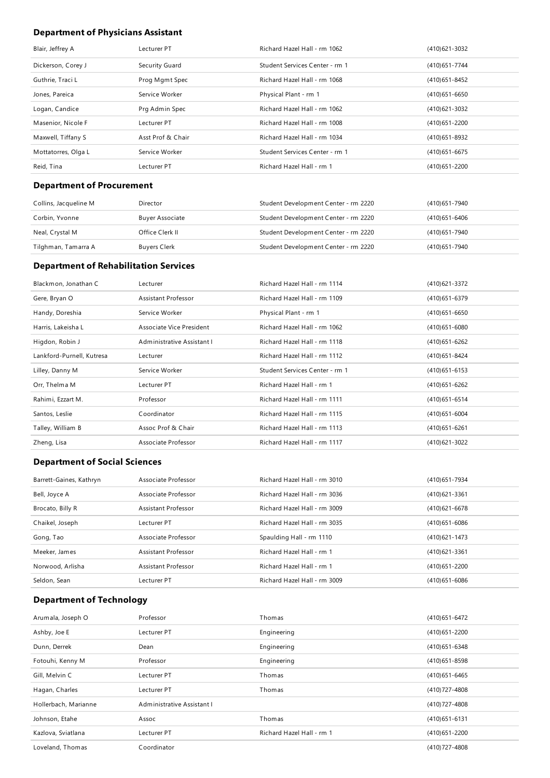## **Department of Physicians Assistant**

| Blair, Jeffrey A    | Lecturer PT       | Richard Hazel Hall - rm 1062   | (410) 621 - 3032  |
|---------------------|-------------------|--------------------------------|-------------------|
| Dickerson, Corey J  | Security Guard    | Student Services Center - rm 1 | (410) 651 - 7744  |
| Guthrie, Traci L    | Prog Mgmt Spec    | Richard Hazel Hall - rm 1068   | (410) 651-8452    |
| Jones, Pareica      | Service Worker    | Physical Plant - rm 1          | $(410)651 - 6650$ |
| Logan, Candice      | Prg Admin Spec    | Richard Hazel Hall - rm 1062   | (410)621-3032     |
| Masenior, Nicole F  | Lecturer PT       | Richard Hazel Hall - rm 1008   | (410) 651 - 2200  |
| Maxwell, Tiffany S  | Asst Prof & Chair | Richard Hazel Hall - rm 1034   | (410) 651 - 8932  |
| Mottatorres, Olga L | Service Worker    | Student Services Center - rm 1 | $(410)651 - 6675$ |
| Reid, Tina          | Lecturer PT       | Richard Hazel Hall - rm 1      | (410)651-2200     |

### **Department of Procurement**

| Collins, Jacqueline M | Director               | Student Development Center - rm 2220 | (410)651-7940 |
|-----------------------|------------------------|--------------------------------------|---------------|
| Corbin, Yvonne        | <b>Buyer Associate</b> | Student Development Center - rm 2220 | (410)651-6406 |
| Neal, Crystal M       | Office Clerk II        | Student Development Center - rm 2220 | (410)651-7940 |
| Tilghman, Tamarra A   | Buyers Clerk           | Student Development Center - rm 2220 | (410)651-7940 |

### **Department of Rehabilitation Services**

| Blackmon, Jonathan C      | Lecturer                   | Richard Hazel Hall - rm 1114   | (410) 621 - 3372  |
|---------------------------|----------------------------|--------------------------------|-------------------|
| Gere, Bryan O             | Assistant Professor        | Richard Hazel Hall - rm 1109   | (410) 651 - 6379  |
| Handy, Doreshia           | Service Worker             | Physical Plant - rm 1          | $(410)651 - 6650$ |
| Harris, Lakeisha L        | Associate Vice President   | Richard Hazel Hall - rm 1062   | $(410)651 - 6080$ |
| Higdon, Robin J           | Administrative Assistant I | Richard Hazel Hall - rm 1118   | $(410)651 - 6262$ |
| Lankford-Purnell, Kutresa | Lecturer                   | Richard Hazel Hall - rm 1112   | (410) 651 - 8424  |
| Lilley, Danny M           | Service Worker             | Student Services Center - rm 1 | $(410)651 - 6153$ |
| Orr, Thelma M             | Lecturer PT                | Richard Hazel Hall - rm 1      | $(410)651 - 6262$ |
| Rahimi, Ezzart M.         | Professor                  | Richard Hazel Hall - rm 1111   | $(410)651 - 6514$ |
| Santos, Leslie            | Coordinator                | Richard Hazel Hall - rm 1115   | $(410)651 - 6004$ |
| Talley, William B         | Assoc Prof & Chair         | Richard Hazel Hall - rm 1113   | $(410)651 - 6261$ |
| Zheng, Lisa               | Associate Professor        | Richard Hazel Hall - rm 1117   | (410) 621 - 3022  |

### **Department of Social Sciences**

| Barrett-Gaines, Kathryn | Associate Professor | Richard Hazel Hall - rm 3010 | (410) 651 - 7934  |
|-------------------------|---------------------|------------------------------|-------------------|
| Bell, Joyce A           | Associate Professor | Richard Hazel Hall - rm 3036 | (410) 621 - 3361  |
| Brocato, Billy R        | Assistant Professor | Richard Hazel Hall - rm 3009 | $(410)621 - 6678$ |
| Chaikel, Joseph         | Lecturer PT         | Richard Hazel Hall - rm 3035 | $(410)651 - 6086$ |
| Gong, Tao               | Associate Professor | Spaulding Hall - rm 1110     | (410) 621 - 1473  |
| Meeker, James           | Assistant Professor | Richard Hazel Hall - rm 1    | (410) 621 - 3361  |
| Norwood, Arlisha        | Assistant Professor | Richard Hazel Hall - rm 1    | (410) 651 - 2200  |
| Seldon, Sean            | Lecturer PT         | Richard Hazel Hall - rm 3009 | $(410)651 - 6086$ |

## **Department of Technology**

| Arumala, Joseph O    | Professor                  | Thomas                    | (410) 651-6472    |
|----------------------|----------------------------|---------------------------|-------------------|
| Ashby, Joe E         | Lecturer PT                | Engineering               | (410) 651 - 2200  |
| Dunn, Derrek         | Dean                       | Engineering               | (410) 651-6348    |
| Fotouhi, Kenny M     | Professor                  | Engineering               | (410) 651-8598    |
| Gill, Melvin C       | Lecturer PT                | Thomas                    | $(410)651 - 6465$ |
| Hagan, Charles       | Lecturer PT                | Thomas                    | (410) 727-4808    |
| Hollerbach, Marianne | Administrative Assistant I |                           | (410) 727-4808    |
| Johnson, Etahe       | Assoc                      | Thomas                    | $(410)651 - 6131$ |
| Kazlova, Sviatlana   | Lecturer PT                | Richard Hazel Hall - rm 1 | (410) 651 - 2200  |
| Loveland, Thomas     | Coordinator                |                           | (410) 727-4808    |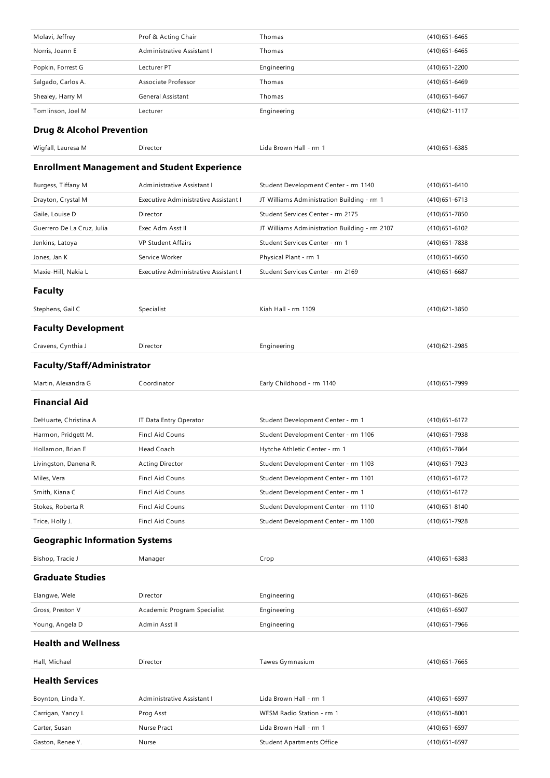| Molavi, Jeffrey                       | Prof & Acting Chair                                 | Thomas                                        | $(410)651 - 6465$ |
|---------------------------------------|-----------------------------------------------------|-----------------------------------------------|-------------------|
| Norris, Joann E                       | Administrative Assistant I                          | Thomas                                        | (410) 651 - 6465  |
| Popkin, Forrest G                     | Lecturer PT                                         | Engineering                                   | (410) 651 - 2200  |
| Salgado, Carlos A.                    | Associate Professor                                 | Thomas                                        | (410) 651-6469    |
| Shealey, Harry M                      | General Assistant                                   | Thomas                                        | (410) 651 - 6467  |
| Tomlinson, Joel M                     | Lecturer                                            | Engineering                                   | (410) 621 - 1117  |
| <b>Drug &amp; Alcohol Prevention</b>  |                                                     |                                               |                   |
| Wigfall, Lauresa M                    | Director                                            | Lida Brown Hall - rm 1                        | (410) 651-6385    |
|                                       | <b>Enrollment Management and Student Experience</b> |                                               |                   |
| Burgess, Tiffany M                    | Administrative Assistant I                          | Student Development Center - rm 1140          | (410) 651 - 6410  |
| Drayton, Crystal M                    | Executive Administrative Assistant I                | JT Williams Administration Building - rm 1    | (410) 651 - 6713  |
| Gaile, Louise D                       | Director                                            | Student Services Center - rm 2175             | (410) 651 - 7850  |
| Guerrero De La Cruz, Julia            | Exec Adm Asst II                                    | JT Williams Administration Building - rm 2107 | (410) 651 - 6102  |
| Jenkins, Latoya                       | <b>VP Student Affairs</b>                           | Student Services Center - rm 1                | (410) 651 - 7838  |
| Jones, Jan K                          | Service Worker                                      | Physical Plant - rm 1                         | $(410)651 - 6650$ |
| Maxie-Hill, Nakia L                   | Executive Administrative Assistant I                | Student Services Center - rm 2169             | $(410)651 - 6687$ |
| <b>Faculty</b>                        |                                                     |                                               |                   |
| Stephens, Gail C                      | Specialist                                          | Kiah Hall - rm 1109                           | (410) 621 - 3850  |
| <b>Faculty Development</b>            |                                                     |                                               |                   |
| Cravens, Cynthia J                    | Director                                            | Engineering                                   | (410) 621 - 2985  |
| Faculty/Staff/Administrator           |                                                     |                                               |                   |
| Martin, Alexandra G                   | Coordinator                                         | Early Childhood - rm 1140                     | (410) 651 - 7999  |
|                                       |                                                     |                                               |                   |
| <b>Financial Aid</b>                  |                                                     |                                               |                   |
| DeHuarte, Christina A                 | IT Data Entry Operator                              | Student Development Center - rm 1             | (410) 651 - 6172  |
| Harmon, Pridgett M.                   | <b>Fincl Aid Couns</b>                              | Student Development Center - rm 1106          | (410) 651 - 7938  |
| Hollamon, Brian E                     | Head Coach                                          | Hytche Athletic Center - rm 1                 | (410) 651 - 7864  |
| Livingston, Danena R.                 | <b>Acting Director</b>                              | Student Development Center - rm 1103          | (410) 651 - 7923  |
| Miles, Vera                           | Fincl Aid Couns                                     | Student Development Center - rm 1101          | (410) 651 - 6172  |
| Smith, Kiana C                        | Fincl Aid Couns                                     | Student Development Center - rm 1             | (410) 651 - 6172  |
| Stokes, Roberta R                     | Fincl Aid Couns                                     | Student Development Center - rm 1110          | (410) 651 - 8140  |
| Trice, Holly J.                       | Fincl Aid Couns                                     | Student Development Center - rm 1100          | (410) 651 - 7928  |
| <b>Geographic Information Systems</b> |                                                     |                                               |                   |
| Bishop, Tracie J                      | Manager                                             | Crop                                          | (410) 651 - 6383  |
| <b>Graduate Studies</b>               |                                                     |                                               |                   |
| Elangwe, Wele                         | Director                                            | Engineering                                   | (410) 651 - 8626  |
| Gross, Preston V                      | Academic Program Specialist                         | Engineering                                   | (410) 651-6507    |
| Young, Angela D                       | Admin Asst II                                       | Engineering                                   | (410) 651 - 7966  |
| <b>Health and Wellness</b>            |                                                     |                                               |                   |
| Hall, Michael                         | Director                                            | Tawes Gymnasium                               | (410) 651 - 7665  |
| <b>Health Services</b>                |                                                     |                                               |                   |
| Boynton, Linda Y.                     | Administrative Assistant I                          | Lida Brown Hall - rm 1                        | $(410)651 - 6597$ |
| Carrigan, Yancy L                     | Prog Asst                                           | WESM Radio Station - rm 1                     | $(410)651 - 8001$ |
| Carter, Susan                         | <b>Nurse Pract</b>                                  | Lida Brown Hall - rm 1                        | (410) 651-6597    |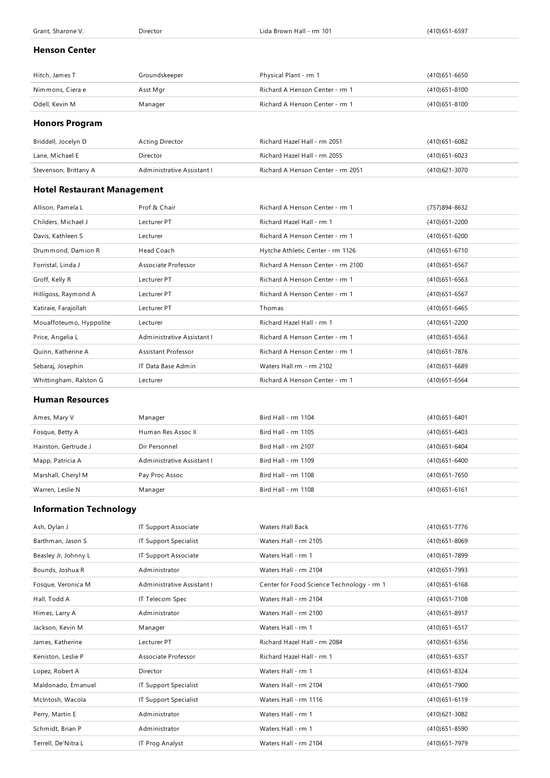| Grant, Sharone V.                  | Director                   | Lida Brown Hall - rm 101          | (410) 651-6597    |
|------------------------------------|----------------------------|-----------------------------------|-------------------|
| <b>Henson Center</b>               |                            |                                   |                   |
|                                    |                            |                                   |                   |
| Hitch, James T                     | Groundskeeper              | Physical Plant - rm 1             | $(410)651 - 6650$ |
| Nimmons, Ciera e                   | Asst Mgr                   | Richard A Henson Center - rm 1    | $(410)651 - 8100$ |
| Odell, Kevin M                     | Manager                    | Richard A Henson Center - rm 1    | $(410)651 - 8100$ |
| <b>Honors Program</b>              |                            |                                   |                   |
| Briddell, Jocelyn D                | <b>Acting Director</b>     | Richard Hazel Hall - rm 2051      | $(410)651 - 6082$ |
| Lane, Michael E                    | <b>Director</b>            | Richard Hazel Hall - rm 2055      | $(410)651 - 6023$ |
| Stevenson, Brittany A              | Administrative Assistant I | Richard A Henson Center - rm 2051 | (410) 621-3070    |
| <b>Hotel Restaurant Management</b> |                            |                                   |                   |
| Allison, Pamela L                  | Prof & Chair               | Richard A Henson Center - rm 1    | (757) 894-8632    |
| Childers, Michael J                | Lecturer PT                | Richard Hazel Hall - rm 1         | (410) 651 - 2200  |
| Davis, Kathleen S                  | Lecturer                   | Richard A Henson Center - rm 1    | (410) 651-6200    |
| Drummond, Damion R                 | Head Coach                 | Hytche Athletic Center - rm 1126  | (410) 651-6710    |
| Forristal, Linda J                 | Associate Professor        | Richard A Henson Center - rm 2100 | $(410)651 - 6567$ |
| Groff, Kelly R                     | Lecturer PT                | Richard A Henson Center - rm 1    | $(410)651 - 6563$ |
| Hilligoss, Raymond A               | Lecturer PT                | Richard A Henson Center - rm 1    | $(410)651 - 6567$ |
| Katiraie, Farajollah               | Lecturer PT                | Thomas                            | $(410)651 - 6465$ |
| Mouaffoteumo, Hyppolite            | Lecturer                   | Richard Hazel Hall - rm 1         | (410) 651 - 2200  |
| Price, Angelia L                   | Administrative Assistant I | Richard A Henson Center - rm 1    | $(410)651 - 6563$ |
| Quinn, Katherine A                 | <b>Assistant Professor</b> | Richard A Henson Center - rm 1    | (410) 651 - 7876  |
| Sebaraj, Josephin                  | IT Data Base Admin         | Waters Hall rm - rm 2102          | $(410)651 - 6689$ |
| Whittingham, Ralston G             | Lecturer                   | Richard A Henson Center - rm 1    | $(410)651 - 6564$ |

#### **Human Resources**

| Ames, Mary V         | Manager                    | Bird Hall - $rm 1104$   | $(410)651 - 6401$ |
|----------------------|----------------------------|-------------------------|-------------------|
| Fosque, Betty A      | Human Res Assoc II         | Bird Hall - rm 1105     | (410)651-6403     |
| Hairston, Gertrude J | Dir Personnel              | Bird Hall - $rm m$ 2107 | (410) 651 - 6404  |
| Mapp, Patricia A     | Administrative Assistant I | Bird Hall - rm 1109     | (410) 651 - 6400  |
| Marshall, Cheryl M   | Pay Proc Assoc             | Bird Hall - rm 1108     | (410) 651 - 7650  |
| Warren, Leslie N     | Manager                    | Bird Hall - rm 1108     | $(410)651 - 6161$ |

## **Information Technology**

| Ash, Dylan J         | <b>IT Support Associate</b> | <b>Waters Hall Back</b>                   | (410) 651 - 7776  |
|----------------------|-----------------------------|-------------------------------------------|-------------------|
| Barthman, Jason S    | IT Support Specialist       | Waters Hall - rm 2105                     | $(410)651 - 8069$ |
| Beasley Jr, Johnny L | IT Support Associate        | Waters Hall - rm 1                        | (410) 651 - 7899  |
| Bounds, Joshua R     | Administrator               | Waters Hall - rm 2104                     | (410) 651 - 7993  |
| Fosque, Veronica M   | Administrative Assistant I  | Center for Food Science Technology - rm 1 | $(410)651 - 6168$ |
| Hall, Todd A         | IT Telecom Spec             | Waters Hall - rm 2104                     | $(410)651 - 7108$ |
| Himes, Larry A       | Administrator               | Waters Hall - rm 2100                     | $(410)651 - 8917$ |
| Jackson, Kevin M     | Manager                     | Waters Hall - rm 1                        | $(410)651 - 6517$ |
| James, Katherine     | Lecturer PT                 | Richard Hazel Hall - rm 2084              | $(410)651 - 6356$ |
| Keniston, Leslie P   | Associate Professor         | Richard Hazel Hall - rm 1                 | $(410)651 - 6357$ |
| Lopez, Robert A      | Director                    | Waters Hall - rm 1                        | (410) 651-8324    |
| Maldonado, Emanuel   | IT Support Specialist       | Waters Hall - rm 2104                     | (410) 651 - 7900  |
| McIntosh, Wacola     | IT Support Specialist       | Waters Hall - rm 1116                     | $(410)651 - 6119$ |
| Perry, Martin E      | Administrator               | Waters Hall - rm 1                        | (410) 621-3082    |
| Schmidt, Brian P     | Administrator               | Waters Hall - rm 1                        | $(410)651 - 8590$ |
| Terrell, De'Nitra L  | IT Prog Analyst             | Waters Hall - rm 2104                     | (410) 651 - 7979  |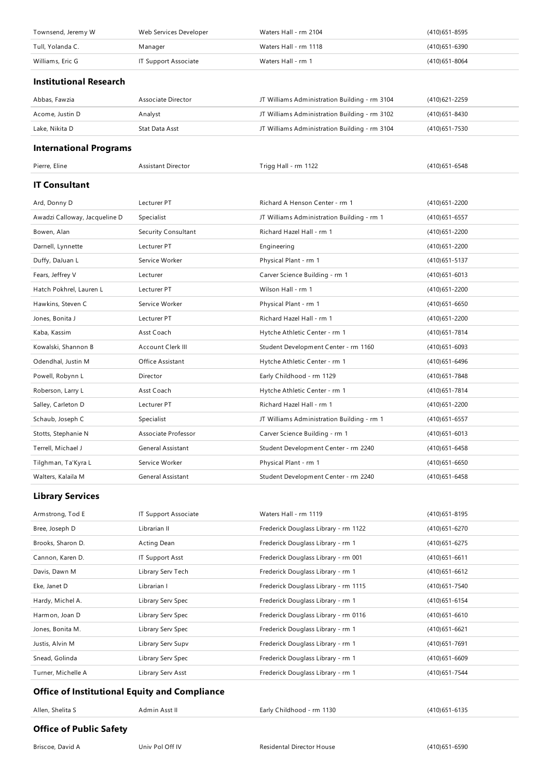| Townsend, Jeremy W                                   | Web Services Developer    | Waters Hall - rm 2104                         | $(410)651 - 8595$ |
|------------------------------------------------------|---------------------------|-----------------------------------------------|-------------------|
| Tull, Yolanda C.                                     | Manager                   | Waters Hall - rm 1118                         | (410) 651-6390    |
| Williams, Eric G                                     | IT Support Associate      | Waters Hall - rm 1                            | $(410)651 - 8064$ |
| <b>Institutional Research</b>                        |                           |                                               |                   |
| Abbas, Fawzia                                        | Associate Director        | JT Williams Administration Building - rm 3104 | (410) 621 - 2259  |
| Acome, Justin D                                      | Analyst                   | JT Williams Administration Building - rm 3102 | (410) 651 - 8430  |
| Lake, Nikita D                                       | Stat Data Asst            | JT Williams Administration Building - rm 3104 | (410) 651 - 7530  |
| <b>International Programs</b>                        |                           |                                               |                   |
| Pierre, Eline                                        | <b>Assistant Director</b> | Trigg Hall - rm 1122                          | $(410)651 - 6548$ |
| <b>IT Consultant</b>                                 |                           |                                               |                   |
| Ard, Donny D                                         | Lecturer PT               | Richard A Henson Center - rm 1                | $(410)651 - 2200$ |
| Awadzi Calloway, Jacqueline D                        | Specialist                | JT Williams Administration Building - rm 1    | $(410)651 - 6557$ |
| Bowen, Alan                                          | Security Consultant       | Richard Hazel Hall - rm 1                     | $(410)651 - 2200$ |
| Darnell, Lynnette                                    | Lecturer PT               | Engineering                                   | (410) 651 - 2200  |
| Duffy, DaJuan L                                      | Service Worker            | Physical Plant - rm 1                         | (410) 651 - 5137  |
| Fears, Jeffrey V                                     | Lecturer                  | Carver Science Building - rm 1                | $(410)651 - 6013$ |
| Hatch Pokhrel, Lauren L                              | Lecturer PT               | Wilson Hall - rm 1                            | (410) 651 - 2200  |
| Hawkins, Steven C                                    | Service Worker            | Physical Plant - rm 1                         | $(410)651 - 6650$ |
| Jones, Bonita J                                      | Lecturer PT               | Richard Hazel Hall - rm 1                     | $(410)651 - 2200$ |
| Kaba, Kassim                                         | Asst Coach                | Hytche Athletic Center - rm 1                 | (410) 651 - 7814  |
| Kowalski, Shannon B                                  | Account Clerk III         | Student Development Center - rm 1160          | $(410)651 - 6093$ |
| Odendhal, Justin M                                   | Office Assistant          | Hytche Athletic Center - rm 1                 | (410) 651 - 6496  |
| Powell, Robynn L                                     | Director                  | Early Childhood - rm 1129                     | (410) 651 - 7848  |
| Roberson, Larry L                                    | Asst Coach                | Hytche Athletic Center - rm 1                 | (410) 651 - 7814  |
| Salley, Carleton D                                   | Lecturer PT               | Richard Hazel Hall - rm 1                     | (410) 651 - 2200  |
| Schaub, Joseph C                                     | Specialist                | JT Williams Administration Building - rm 1    | $(410)651 - 6557$ |
| Stotts, Stephanie N                                  | Associate Professor       | Carver Science Building - rm 1                | $(410)651 - 6013$ |
| Terrell, Michael J                                   | General Assistant         | Student Development Center - rm 2240          | $(410)651 - 6458$ |
| Tilghman, Ta'Kyra L                                  | Service Worker            | Physical Plant - rm 1                         | $(410)651 - 6650$ |
| Walters, Kalaila M                                   | General Assistant         | Student Development Center - rm 2240          | (410) 651-6458    |
| <b>Library Services</b>                              |                           |                                               |                   |
| Armstrong, Tod E                                     | IT Support Associate      | Waters Hall - rm 1119                         | (410) 651 - 8195  |
| Bree, Joseph D                                       | Librarian II              | Frederick Douglass Library - rm 1122          | (410) 651-6270    |
| Brooks, Sharon D.                                    | Acting Dean               | Frederick Douglass Library - rm 1             | (410) 651 - 6275  |
| Cannon, Karen D.                                     | <b>IT Support Asst</b>    | Frederick Douglass Library - rm 001           | $(410)651 - 6611$ |
| Davis, Dawn M                                        | Library Serv Tech         | Frederick Douglass Library - rm 1             | (410) 651 - 6612  |
| Eke, Janet D                                         | Librarian I               | Frederick Douglass Library - rm 1115          | (410) 651 - 7540  |
| Hardy, Michel A.                                     | Library Serv Spec         | Frederick Douglass Library - rm 1             | (410) 651 - 6154  |
| Harmon, Joan D                                       | Library Serv Spec         | Frederick Douglass Library - rm 0116          | (410) 651 - 6610  |
| Jones, Bonita M.                                     | Library Serv Spec         | Frederick Douglass Library - rm 1             | (410) 651 - 6621  |
| Justis, Alvin M                                      | Library Serv Supv         | Frederick Douglass Library - rm 1             | (410) 651 - 7691  |
| Snead, Golinda                                       | Library Serv Spec         | Frederick Douglass Library - rm 1             | $(410)651 - 6609$ |
| Turner, Michelle A                                   | Library Serv Asst         | Frederick Douglass Library - rm 1             | (410) 651 - 7544  |
| <b>Office of Institutional Equity and Compliance</b> |                           |                                               |                   |

| Allen, Shelita S | \dmin Asst II | Early Childhood - rm 1130 | 10)651-6135 |
|------------------|---------------|---------------------------|-------------|
| $ -$<br>.        |               |                           |             |

## **Office of Public Safety**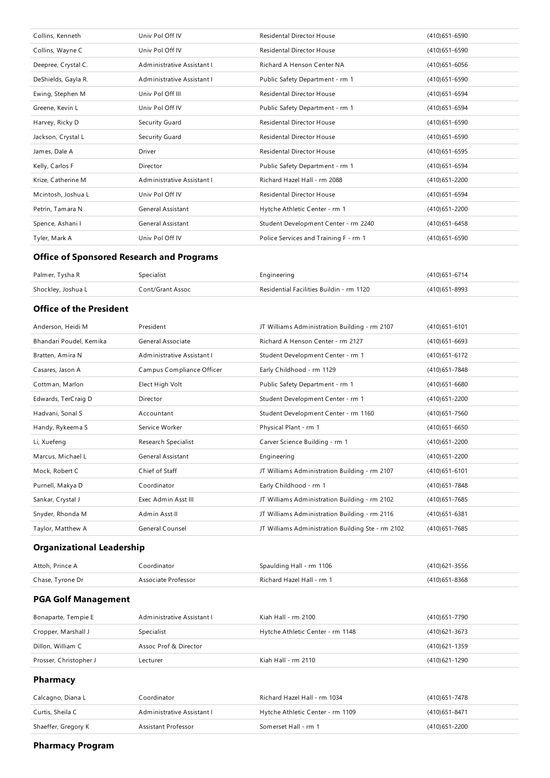| Collins, Kenneth    | Univ Pol Off IV            | <b>Residental Director House</b>      | (410) 651-6590    |
|---------------------|----------------------------|---------------------------------------|-------------------|
| Collins, Wayne C    | Univ Pol Off IV            | <b>Residental Director House</b>      | $(410)651 - 6590$ |
| Deepree, Crystal C. | Administrative Assistant I | Richard A Henson Center NA            | $(410)651 - 6056$ |
| DeShields, Gayla R. | Administrative Assistant I | Public Safety Department - rm 1       | (410) 651-6590    |
| Ewing, Stephen M    | Univ Pol Off III           | <b>Residental Director House</b>      | (410) 651 - 6594  |
| Greene, Kevin L     | Univ Pol Off IV            | Public Safety Department - rm 1       | (410) 651-6594    |
| Harvey, Ricky D     | Security Guard             | <b>Residental Director House</b>      | $(410)651 - 6590$ |
| Jackson, Crystal L  | Security Guard             | <b>Residental Director House</b>      | $(410)651 - 6590$ |
| James, Dale A       | Driver                     | <b>Residental Director House</b>      | $(410)651 - 6595$ |
| Kelly, Carlos F     | Director                   | Public Safety Department - rm 1       | (410) 651 - 6594  |
| Krize, Catherine M  | Administrative Assistant I | Richard Hazel Hall - rm 2088          | (410) 651 - 2200  |
| Mcintosh, Joshua L  | Univ Pol Off IV            | <b>Residental Director House</b>      | (410) 651-6594    |
| Petrin, Tamara N    | General Assistant          | Hytche Athletic Center - rm 1         | (410) 651 - 2200  |
| Spence, Ashani I    | General Assistant          | Student Development Center - rm 2240  | $(410)651 - 6458$ |
| Tyler, Mark A       | Univ Pol Off IV            | Police Services and Training F - rm 1 | $(410)651 - 6590$ |

### **Office of Sponsored Research and Programs**

| Palmer, Tysha R    | ipecialist       | ngineering                               | (410) 651-6714 |
|--------------------|------------------|------------------------------------------|----------------|
| Shockley, Joshua L | Cont/Grant Assoc | Residential Facilities Buildin - rm 1120 | 410)651-8993   |

### **Office of the President**

| Anderson, Heidi M       | President                  | JT Williams Administration Building - rm 2107     | $(410)651 - 6101$ |
|-------------------------|----------------------------|---------------------------------------------------|-------------------|
| Bhandari Poudel, Kemika | General Associate          | Richard A Henson Center - rm 2127                 | $(410)651 - 6693$ |
| Bratten, Amira N        | Administrative Assistant I | Student Development Center - rm 1                 | (410) 651 - 6172  |
| Casares, Jason A        | Campus Compliance Officer  | Early Childhood - rm 1129                         | (410) 651 - 7848  |
| Cottman, Marlon         | Elect High Volt            | Public Safety Department - rm 1                   | $(410)651 - 6680$ |
| Edwards, TerCraig D     | Director                   | Student Development Center - rm 1                 | (410) 651 - 2200  |
| Hadvani, Sonal S        | Accountant                 | Student Development Center - rm 1160              | $(410)651 - 7560$ |
| Handy, Rykeema S        | Service Worker             | Physical Plant - rm 1                             | $(410)651 - 6650$ |
| Li, Xuefeng             | Research Specialist        | Carver Science Building - rm 1                    | (410) 651 - 2200  |
| Marcus, Michael L       | <b>General Assistant</b>   | Engineering                                       | (410) 651 - 2200  |
| Mock, Robert C          | Chief of Staff             | JT Williams Administration Building - rm 2107     | $(410)651 - 6101$ |
| Purnell, Makya D        | Coordinator                | Early Childhood - rm 1                            | (410) 651 - 7848  |
| Sankar, Crystal J       | Exec Admin Asst III        | JT Williams Administration Building - rm 2102     | (410) 651 - 7685  |
| Snyder, Rhonda M        | Admin Asst II              | JT Williams Administration Building - rm 2116     | $(410)651 - 6381$ |
| Taylor, Matthew A       | General Counsel            | JT Williams Administration Building Ste - rm 2102 | $(410)651 - 7685$ |

### **Organizational Leadership**

| Attoh, Prince A  | Coordinator         | Spaulding Hall - rm 1106  | (410) 621 - 3556 |
|------------------|---------------------|---------------------------|------------------|
| Chase, Tyrone Dr | Associate Professor | Richard Hazel Hall - rm 1 | (410)651-8368    |

### **PGA Golf Management**

| Bonaparte, Tempie E    | Administrative Assistant I | Kiah Hall - rm 2100              | (410) 651 - 7790 |
|------------------------|----------------------------|----------------------------------|------------------|
| Cropper, Marshall J    | Specialist                 | Hytche Athletic Center - rm 1148 | (410) 621 - 3673 |
| Dillon, William C      | Assoc Prof & Director      |                                  | (410) 621 - 1359 |
| Prosser, Christopher J | Lecturer                   | Kiah Hall - rm 2110              | (410) 621 - 1290 |
| <b>Pharmacy</b>        |                            |                                  |                  |
| Calcagno, Diana L      | Coordinator                | Richard Hazel Hall - rm 1034     | (410) 651 - 7478 |
| Curtis, Sheila C       | Administrative Assistant I | Hytche Athletic Center - rm 1109 | (410) 651 - 8471 |

Shaeffer, Gregory K **Assistant Professor** Somerset Hall - rm 1 (410)651-2200

**Pharmacy Program**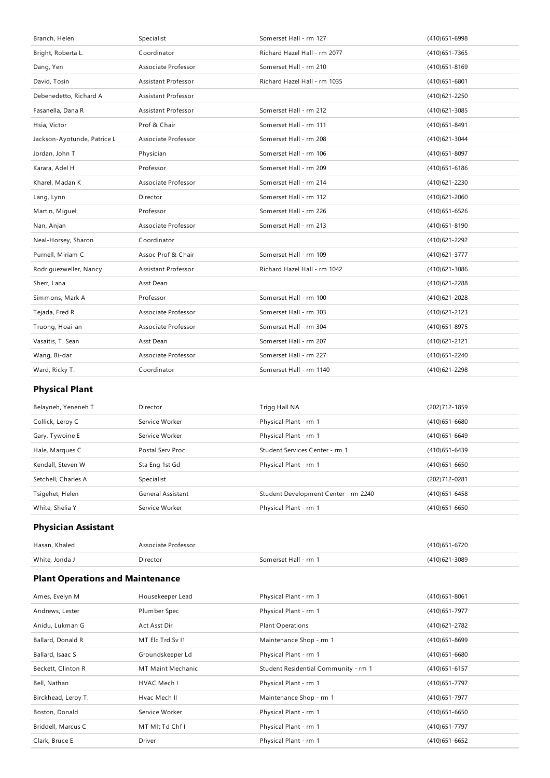| Branch, Helen                           | Specialist                 | Somerset Hall - rm 127               | (410) 651-6998    |  |  |
|-----------------------------------------|----------------------------|--------------------------------------|-------------------|--|--|
| Bright, Roberta L.                      | Coordinator                | Richard Hazel Hall - rm 2077         | (410) 651 - 7365  |  |  |
| Dang, Yen                               | Associate Professor        | Somerset Hall - rm 210               | $(410)651 - 8169$ |  |  |
| David, Tosin                            | <b>Assistant Professor</b> | Richard Hazel Hall - rm 1035         | $(410)651 - 6801$ |  |  |
| Debenedetto, Richard A                  | Assistant Professor        |                                      | (410) 621 - 2250  |  |  |
| Fasanella, Dana R                       | Assistant Professor        | Somerset Hall - rm 212               | (410) 621 - 3085  |  |  |
| Hsia, Victor                            | Prof & Chair               | Somerset Hall - rm 111               | (410) 651 - 8491  |  |  |
| Jackson-Ayotunde, Patrice L             | Associate Professor        | Somerset Hall - rm 208               | (410) 621 - 3044  |  |  |
| Jordan, John T                          | Physician                  | Somerset Hall - rm 106               | (410) 651-8097    |  |  |
| Karara, Adel H                          | Professor                  | Somerset Hall - rm 209               | (410) 651 - 6186  |  |  |
| Kharel, Madan K                         | Associate Professor        | Somerset Hall - rm 214               | (410) 621 - 2230  |  |  |
| Lang, Lynn                              | Director                   | Somerset Hall - rm 112               | $(410)621 - 2060$ |  |  |
| Martin, Miguel                          | Professor                  | Somerset Hall - rm 226               | (410) 651 - 6526  |  |  |
| Nan, Anjan                              | Associate Professor        | Somerset Hall - rm 213               | (410) 651 - 8190  |  |  |
| Neal-Horsey, Sharon                     | Coordinator                |                                      | (410) 621 - 2292  |  |  |
| Purnell, Miriam C                       | Assoc Prof & Chair         | Somerset Hall - rm 109               | (410) 621 - 3777  |  |  |
| Rodriguezweller, Nancy                  | <b>Assistant Professor</b> | Richard Hazel Hall - rm 1042         | (410) 621 - 3086  |  |  |
| Sherr, Lana                             | Asst Dean                  |                                      | (410) 621 - 2288  |  |  |
| Simmons, Mark A                         | Professor                  | Somerset Hall - rm 100               | (410) 621 - 2028  |  |  |
| Tejada, Fred R                          | Associate Professor        | Somerset Hall - rm 303               | (410) 621 - 2123  |  |  |
| Truong, Hoai-an                         | Associate Professor        | Somerset Hall - rm 304               | (410) 651-8975    |  |  |
| Vasaitis, T. Sean                       | Asst Dean                  | Somerset Hall - rm 207               | (410) 621 - 2121  |  |  |
| Wang, Bi-dar                            | Associate Professor        | Somerset Hall - rm 227               | (410) 651 - 2240  |  |  |
| Ward, Ricky T.                          | Coordinator                | Somerset Hall - rm 1140              | (410) 621 - 2298  |  |  |
| <b>Physical Plant</b>                   |                            |                                      |                   |  |  |
| Belayneh, Yeneneh T                     | Director                   | Trigg Hall NA                        | (202) 712 - 1859  |  |  |
| Collick, Leroy C                        | Service Worker             | Physical Plant - rm 1                | $(410)651 - 6680$ |  |  |
| Gary, Tywoine E                         | Service Worker             | Physical Plant - rm 1                | (410) 651 - 6649  |  |  |
| Hale, Marques C                         | Postal Serv Proc           | Student Services Center - rm 1       | (410) 651 - 6439  |  |  |
| Kendall, Steven W                       | Sta Eng 1st Gd             | Physical Plant - rm 1                | $(410)651 - 6650$ |  |  |
| Setchell, Charles A                     | Specialist                 |                                      | (202) 712-0281    |  |  |
| Tsigehet, Helen                         | General Assistant          | Student Development Center - rm 2240 | (410) 651 - 6458  |  |  |
| White, Shelia Y                         | Service Worker             | Physical Plant - rm 1                | $(410)651 - 6650$ |  |  |
| <b>Physician Assistant</b>              |                            |                                      |                   |  |  |
| Hasan, Khaled                           | Associate Professor        |                                      | (410) 651-6720    |  |  |
| White, Jonda J                          | Director                   | Somerset Hall - rm 1                 | (410) 621 - 3089  |  |  |
| <b>Plant Operations and Maintenance</b> |                            |                                      |                   |  |  |
| Ames, Evelyn M                          | Housekeeper Lead           | Physical Plant - rm 1                | $(410)651 - 8061$ |  |  |
| Andrews, Lester                         | Plumber Spec               | Physical Plant - rm 1                | (410) 651 - 7977  |  |  |
|                                         |                            |                                      |                   |  |  |

| Andrews, Lester     | Plumber Spec      | Physical Plant - rm 1                | (410)651-7977     |
|---------------------|-------------------|--------------------------------------|-------------------|
| Anidu, Lukman G     | Act Asst Dir      | <b>Plant Operations</b>              | (410) 621 - 2782  |
| Ballard, Donald R   | MT Elc Trd Sv I1  | Maintenance Shop - rm 1              | $(410)651 - 8699$ |
| Ballard, Isaac S    | Groundskeeper Ld  | Physical Plant - rm 1                | $(410)651 - 6680$ |
| Beckett, Clinton R  | MT Maint Mechanic | Student Residential Community - rm 1 | $(410)651 - 6157$ |
| Bell, Nathan        | HVAC Mech I       | Physical Plant - rm 1                | (410) 651 - 7797  |
| Birckhead, Leroy T. | Hvac Mech II      | Maintenance Shop - rm 1              | (410) 651 - 7977  |
| Boston, Donald      | Service Worker    | Physical Plant - rm 1                | $(410)651 - 6650$ |
| Briddell, Marcus C  | MT MIt Td Chf I   | Physical Plant - rm 1                | (410) 651 - 7797  |
| Clark, Bruce E      | <b>Driver</b>     | Physical Plant - rm 1                | $(410)651 - 6652$ |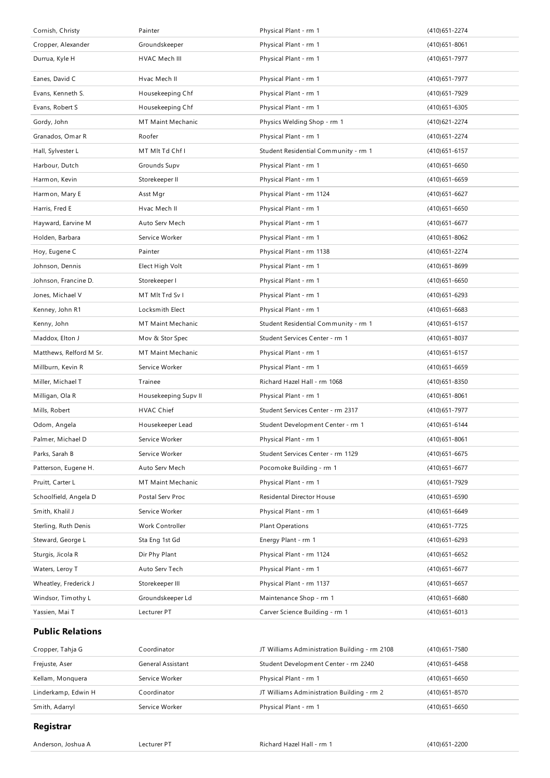| Cornish, Christy        | Painter                  | Physical Plant - rm 1                | (410) 651 - 2274  |
|-------------------------|--------------------------|--------------------------------------|-------------------|
| Cropper, Alexander      | Groundskeeper            | Physical Plant - rm 1                | $(410)651 - 8061$ |
| Durrua, Kyle H          | HVAC Mech III            | Physical Plant - rm 1                | (410) 651 - 7977  |
| Eanes, David C          | Hvac Mech II             | Physical Plant - rm 1                | (410) 651 - 7977  |
| Evans, Kenneth S.       | Housekeeping Chf         | Physical Plant - rm 1                | (410) 651 - 7929  |
| Evans, Robert S         | Housekeeping Chf         | Physical Plant - rm 1                | (410) 651-6305    |
| Gordy, John             | MT Maint Mechanic        | Physics Welding Shop - rm 1          | (410) 621 - 2274  |
| Granados, Omar R        | Roofer                   | Physical Plant - rm 1                | (410) 651 - 2274  |
| Hall, Sylvester L       | MT MIt Td Chf I          | Student Residential Community - rm 1 | $(410)651 - 6157$ |
| Harbour, Dutch          | Grounds Supv             | Physical Plant - rm 1                | $(410)651 - 6650$ |
| Harmon, Kevin           | Storekeeper II           | Physical Plant - rm 1                | $(410)651 - 6659$ |
| Harmon, Mary E          | Asst Mgr                 | Physical Plant - rm 1124             | (410) 651-6627    |
| Harris, Fred E          | Hvac Mech II             | Physical Plant - rm 1                | $(410)651 - 6650$ |
| Hayward, Earvine M      | Auto Serv Mech           | Physical Plant - rm 1                | $(410)651 - 6677$ |
| Holden, Barbara         | Service Worker           | Physical Plant - rm 1                | (410) 651 - 8062  |
| Hoy, Eugene C           | Painter                  | Physical Plant - rm 1138             | (410) 651 - 2274  |
| Johnson, Dennis         | Elect High Volt          | Physical Plant - rm 1                | $(410)651 - 8699$ |
| Johnson, Francine D.    | Storekeeper I            | Physical Plant - rm 1                | $(410)651 - 6650$ |
| Jones, Michael V        | MT MIt Trd Sv I          | Physical Plant - rm 1                | $(410)651 - 6293$ |
| Kenney, John R1         | Locksmith Elect          | Physical Plant - rm 1                | $(410)651 - 6683$ |
| Kenny, John             | MT Maint Mechanic        | Student Residential Community - rm 1 | $(410)651 - 6157$ |
| Maddox, Elton J         | Mov & Stor Spec          | Student Services Center - rm 1       | (410) 651-8037    |
| Matthews, Relford M Sr. | MT Maint Mechanic        | Physical Plant - rm 1                | $(410)651 - 6157$ |
| Millburn, Kevin R       | Service Worker           | Physical Plant - rm 1                | $(410)651 - 6659$ |
| Miller, Michael T       | Trainee                  | Richard Hazel Hall - rm 1068         | (410) 651 - 8350  |
| Milligan, Ola R         | Housekeeping Supv II     | Physical Plant - rm 1                | $(410)651 - 8061$ |
| Mills, Robert           | HVAC Chief               | Student Services Center - rm 2317    | (410) 651 - 7977  |
| Odom, Angela            | Housekeeper Lead         | Student Development Center - rm 1    | $(410)651 - 6144$ |
| Palmer, Michael D       | Service Worker           | Physical Plant - rm 1                | $(410)651 - 8061$ |
| Parks, Sarah B          | Service Worker           | Student Services Center - rm 1129    | $(410)651 - 6675$ |
| Patterson, Eugene H.    | Auto Serv Mech           | Pocomoke Building - rm 1             | $(410)651 - 6677$ |
| Pruitt, Carter L        | <b>MT Maint Mechanic</b> | Physical Plant - rm 1                | (410) 651 - 7929  |
| Schoolfield, Angela D   | Postal Serv Proc         | Residental Director House            | $(410)651 - 6590$ |
| Smith, Khalil J         | Service Worker           | Physical Plant - rm 1                | $(410)651 - 6649$ |
| Sterling, Ruth Denis    | Work Controller          | <b>Plant Operations</b>              | (410) 651 - 7725  |
| Steward, George L       | Sta Eng 1st Gd           | Energy Plant - rm 1                  | $(410)651 - 6293$ |
| Sturgis, Jicola R       | Dir Phy Plant            | Physical Plant - rm 1124             | (410) 651-6652    |
| Waters, Leroy T         | Auto Serv Tech           | Physical Plant - rm 1                | $(410)651 - 6677$ |
| Wheatley, Frederick J   | Storekeeper III          | Physical Plant - rm 1137             | $(410)651 - 6657$ |
| Windsor, Timothy L      | Groundskeeper Ld         | Maintenance Shop - rm 1              | $(410)651 - 6680$ |
| Yassien, Mai T          | Lecturer PT              | Carver Science Building - rm 1       | $(410)651 - 6013$ |
| <b>Public Relations</b> |                          |                                      |                   |
|                         |                          |                                      |                   |

| Cropper, Tahja G    | Coordinator       | JT Williams Administration Building - rm 2108 | (410) 651 - 7580 |
|---------------------|-------------------|-----------------------------------------------|------------------|
| Frejuste, Aser      | General Assistant | Student Development Center - rm 2240          | (410) 651 - 6458 |
| Kellam, Monguera    | Service Worker    | Physical Plant - rm 1                         | (410) 651 - 6650 |
| Linderkamp, Edwin H | Coordinator       | JT Williams Administration Building - rm 2    | (410) 651 - 8570 |
| Smith, Adarryl      | Service Worker    | Physical Plant - rm 1                         | (410) 651-6650   |

### **Registrar**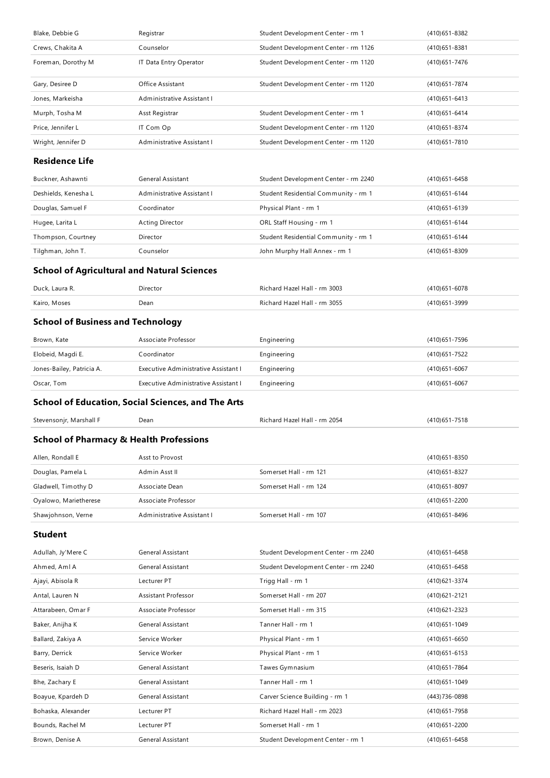| Blake, Debbie G                                    | Registrar                                                 | Student Development Center - rm 1    | (410) 651 - 8382  |
|----------------------------------------------------|-----------------------------------------------------------|--------------------------------------|-------------------|
| Crews, Chakita A                                   | Counselor                                                 | Student Development Center - rm 1126 | $(410)651 - 8381$ |
| Foreman, Dorothy M                                 | IT Data Entry Operator                                    | Student Development Center - rm 1120 | (410) 651 - 7476  |
| Gary, Desiree D                                    | Office Assistant                                          | Student Development Center - rm 1120 | (410) 651 - 7874  |
| Jones, Markeisha                                   | Administrative Assistant I                                |                                      | (410) 651 - 6413  |
| Murph, Tosha M                                     | Asst Registrar                                            | Student Development Center - rm 1    | (410) 651 - 6414  |
| Price, Jennifer L                                  | IT Com Op                                                 | Student Development Center - rm 1120 | (410) 651 - 8374  |
| Wright, Jennifer D                                 | Administrative Assistant I                                | Student Development Center - rm 1120 | (410) 651 - 7810  |
| <b>Residence Life</b>                              |                                                           |                                      |                   |
| Buckner, Ashawnti                                  | General Assistant                                         | Student Development Center - rm 2240 | (410) 651 - 6458  |
| Deshields, Kenesha L                               | Administrative Assistant I                                | Student Residential Community - rm 1 | (410) 651 - 6144  |
| Douglas, Samuel F                                  | Coordinator                                               | Physical Plant - rm 1                | (410) 651 - 6139  |
| Hugee, Larita L                                    | <b>Acting Director</b>                                    | ORL Staff Housing - rm 1             | (410) 651 - 6144  |
| Thompson, Courtney                                 | Director                                                  | Student Residential Community - rm 1 | (410) 651 - 6144  |
| Tilghman, John T.                                  | Counselor                                                 | John Murphy Hall Annex - rm 1        | (410) 651 - 8309  |
| <b>School of Agricultural and Natural Sciences</b> |                                                           |                                      |                   |
| Duck, Laura R.                                     | Director                                                  | Richard Hazel Hall - rm 3003         | $(410)651 - 6078$ |
| Kairo, Moses                                       | Dean                                                      | Richard Hazel Hall - rm 3055         | (410) 651 - 3999  |
| <b>School of Business and Technology</b>           |                                                           |                                      |                   |
| Brown, Kate                                        | Associate Professor                                       | Engineering                          | (410) 651 - 7596  |
| Elobeid, Magdi E.                                  | Coordinator                                               | Engineering                          | (410) 651 - 7522  |
| Jones-Bailey, Patricia A.                          | Executive Administrative Assistant I                      | Engineering                          | $(410)651 - 6067$ |
| Oscar, Tom                                         | Executive Administrative Assistant I                      | Engineering                          | $(410)651 - 6067$ |
|                                                    |                                                           |                                      |                   |
|                                                    | <b>School of Education, Social Sciences, and The Arts</b> |                                      |                   |
| Stevensonjr, Marshall F                            | Dean                                                      | Richard Hazel Hall - rm 2054         | (410) 651 - 7518  |
| <b>School of Pharmacy &amp; Health Professions</b> |                                                           |                                      |                   |
| Allen, Rondall E                                   | Asst to Provost                                           |                                      | (410) 651 - 8350  |
| Douglas, Pamela L                                  | Admin Asst II                                             | Somerset Hall - rm 121               | (410) 651 - 8327  |
| Gladwell, Timothy D                                | Associate Dean                                            | Somerset Hall - rm 124               | $(410)651 - 8097$ |
| Oyalowo, Marietherese                              | Associate Professor                                       |                                      | (410) 651 - 2200  |
| Shawjohnson, Verne                                 | Administrative Assistant I                                | Somerset Hall - rm 107               | $(410)651 - 8496$ |
| <b>Student</b>                                     |                                                           |                                      |                   |
| Adullah, Jy'Mere C                                 | General Assistant                                         | Student Development Center - rm 2240 | $(410)651 - 6458$ |
| Ahmed, Aml A                                       | General Assistant                                         | Student Development Center - rm 2240 | $(410)651 - 6458$ |
| Ajayi, Abisola R                                   | Lecturer PT                                               | Trigg Hall - rm 1                    | (410) 621 - 3374  |
| Antal, Lauren N                                    | Assistant Professor                                       | Somerset Hall - rm 207               | (410) 621 - 2121  |
| Attarabeen, Omar F                                 | Associate Professor                                       | Somerset Hall - rm 315               | (410) 621 - 2323  |
| Baker, Anijha K                                    | General Assistant                                         | Tanner Hall - rm 1                   | $(410)651 - 1049$ |
| Ballard, Zakiya A                                  | Service Worker                                            | Physical Plant - rm 1                | $(410)651 - 6650$ |
| Barry, Derrick                                     | Service Worker                                            | Physical Plant - rm 1                | $(410)651 - 6153$ |
| Beseris, Isaiah D                                  | General Assistant                                         | Tawes Gymnasium                      | (410) 651 - 7864  |
| Bhe, Zachary E                                     | General Assistant                                         | Tanner Hall - rm 1                   | (410) 651 - 1049  |
| Boayue, Kpardeh D                                  | General Assistant                                         | Carver Science Building - rm 1       | (443) 736-0898    |
| Bohaska, Alexander                                 | Lecturer PT                                               | Richard Hazel Hall - rm 2023         | (410) 651 - 7958  |
| Bounds, Rachel M                                   | Lecturer PT                                               | Somerset Hall - rm 1                 | (410) 651 - 2200  |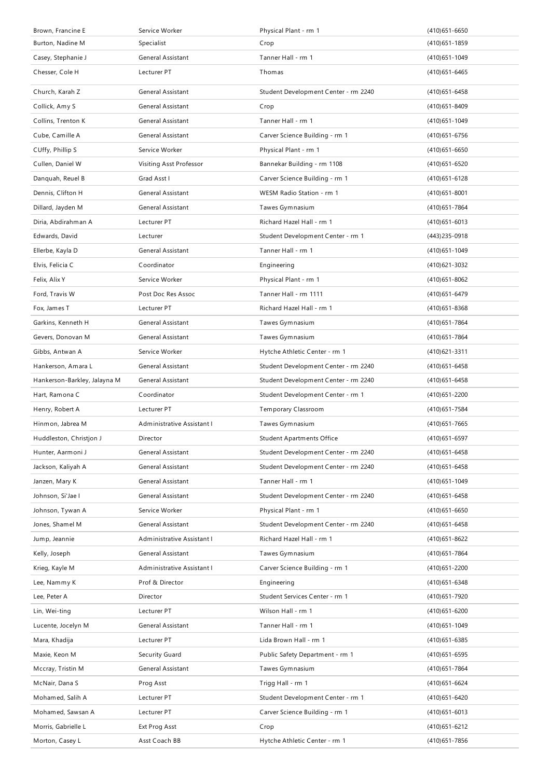| Brown, Francine E            | Service Worker             | Physical Plant - rm 1                | $(410)651 - 6650$ |
|------------------------------|----------------------------|--------------------------------------|-------------------|
| Burton, Nadine M             | Specialist                 | Crop                                 | $(410)651 - 1859$ |
| Casey, Stephanie J           | General Assistant          | Tanner Hall - rm 1                   | (410) 651 - 1049  |
| Chesser, Cole H              | Lecturer PT                | Thomas                               | $(410)651 - 6465$ |
| Church, Karah Z              | General Assistant          | Student Development Center - rm 2240 | $(410)651 - 6458$ |
| Collick, Amy S               | General Assistant          | Crop                                 | (410) 651 - 8409  |
| Collins, Trenton K           | General Assistant          | Tanner Hall - rm 1                   | $(410)651 - 1049$ |
| Cube, Camille A              | General Assistant          | Carver Science Building - rm 1       | $(410)651 - 6756$ |
| CUffy, Phillip S             | Service Worker             | Physical Plant - rm 1                | $(410)651 - 6650$ |
| Cullen, Daniel W             | Visiting Asst Professor    | Bannekar Building - rm 1108          | (410) 651 - 6520  |
| Danguah, Reuel B             | Grad Asst I                | Carver Science Building - rm 1       | $(410)651 - 6128$ |
| Dennis, Clifton H            | General Assistant          | WESM Radio Station - rm 1            | $(410)651 - 8001$ |
| Dillard, Jayden M            | General Assistant          | Tawes Gymnasium                      | (410) 651 - 7864  |
| Diria, Abdirahman A          | Lecturer PT                | Richard Hazel Hall - rm 1            | $(410)651 - 6013$ |
| Edwards, David               | Lecturer                   | Student Development Center - rm 1    | (443) 235-0918    |
| Ellerbe, Kayla D             | General Assistant          | Tanner Hall - rm 1                   | (410) 651 - 1049  |
| Elvis, Felicia C             | Coordinator                | Engineering                          | (410) 621 - 3032  |
| Felix, Alix Y                | Service Worker             | Physical Plant - rm 1                | $(410)651 - 8062$ |
| Ford, Travis W               | Post Doc Res Assoc         | Tanner Hall - rm 1111                | (410) 651 - 6479  |
| Fox, James T                 | Lecturer PT                | Richard Hazel Hall - rm 1            | $(410)651 - 8368$ |
| Garkins, Kenneth H           | General Assistant          | Tawes Gymnasium                      | (410) 651 - 7864  |
| Gevers, Donovan M            | General Assistant          | Tawes Gymnasium                      | (410) 651 - 7864  |
| Gibbs, Antwan A              | Service Worker             | Hytche Athletic Center - rm 1        | (410) 621 - 3311  |
| Hankerson, Amara L           | General Assistant          | Student Development Center - rm 2240 | (410) 651 - 6458  |
| Hankerson-Barkley, Jalayna M | General Assistant          | Student Development Center - rm 2240 | $(410)651 - 6458$ |
| Hart, Ramona C               | Coordinator                | Student Development Center - rm 1    | (410) 651 - 2200  |
| Henry, Robert A              | Lecturer PT                | Temporary Classroom                  | (410) 651 - 7584  |
| Hinmon, Jabrea M             | Administrative Assistant I | Tawes Gymnasium                      | $(410)651 - 7665$ |
| Huddleston, Christjon J      | Director                   | <b>Student Apartments Office</b>     | $(410)651 - 6597$ |
| Hunter, Aarmoni J            | General Assistant          | Student Development Center - rm 2240 | $(410)651 - 6458$ |
| Jackson, Kaliyah A           | General Assistant          | Student Development Center - rm 2240 | $(410)651 - 6458$ |
| Janzen, Mary K               | General Assistant          | Tanner Hall - rm 1                   | (410) 651 - 1049  |
| Johnson, Si'Jae I            | General Assistant          | Student Development Center - rm 2240 | $(410)651 - 6458$ |
| Johnson, Tywan A             | Service Worker             | Physical Plant - rm 1                | $(410)651 - 6650$ |
| Jones, Shamel M              | General Assistant          | Student Development Center - rm 2240 | $(410)651 - 6458$ |
| Jump, Jeannie                | Administrative Assistant I | Richard Hazel Hall - rm 1            | $(410)651 - 8622$ |
| Kelly, Joseph                | General Assistant          | Tawes Gymnasium                      | (410) 651 - 7864  |
| Krieg, Kayle M               | Administrative Assistant I | Carver Science Building - rm 1       | (410) 651 - 2200  |
| Lee, Nammy K                 | Prof & Director            | Engineering                          | (410) 651 - 6348  |
| Lee, Peter A                 | Director                   | Student Services Center - rm 1       | (410) 651 - 7920  |
| Lin, Wei-ting                | Lecturer PT                | Wilson Hall - rm 1                   | (410) 651-6200    |
| Lucente, Jocelyn M           | General Assistant          | Tanner Hall - rm 1                   | (410) 651 - 1049  |
| Mara, Khadija                | Lecturer PT                | Lida Brown Hall - rm 1               | (410) 651 - 6385  |
| Maxie, Keon M                | Security Guard             | Public Safety Department - rm 1      | $(410)651 - 6595$ |
| Mccray, Tristin M            | General Assistant          | Tawes Gymnasium                      | (410) 651 - 7864  |
| McNair, Dana S               | Prog Asst                  | Trigg Hall - rm 1                    | $(410)651 - 6624$ |
| Mohamed, Salih A             | Lecturer PT                | Student Development Center - rm 1    | (410) 651 - 6420  |
| Mohamed, Sawsan A            | Lecturer PT                | Carver Science Building - rm 1       | $(410)651 - 6013$ |
| Morris, Gabrielle L          | Ext Prog Asst              | Crop                                 | (410) 651 - 6212  |
| Morton, Casey L              | Asst Coach BB              | Hytche Athletic Center - rm 1        | $(410)651 - 7856$ |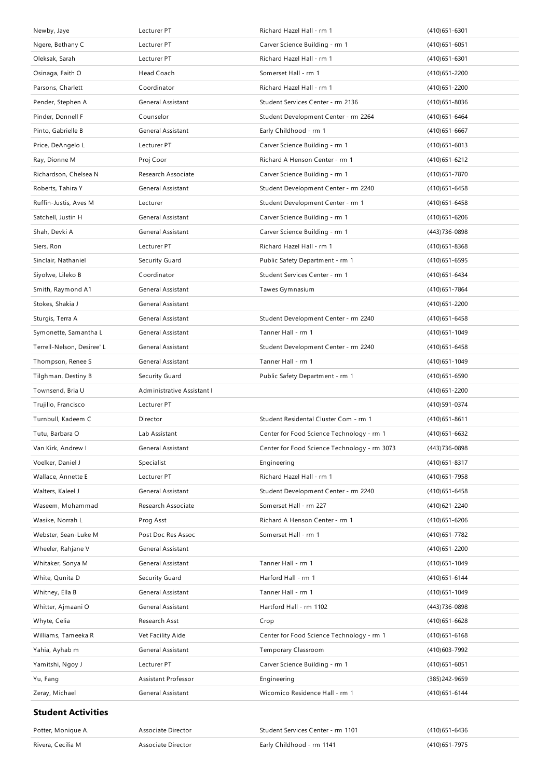| Newby, Jaye                | Lecturer PT                | Richard Hazel Hall - rm 1                    | $(410)651 - 6301$ |
|----------------------------|----------------------------|----------------------------------------------|-------------------|
| Ngere, Bethany C           | Lecturer PT                | Carver Science Building - rm 1               | $(410)651 - 6051$ |
| Oleksak, Sarah             | Lecturer PT                | Richard Hazel Hall - rm 1                    | $(410)651 - 6301$ |
| Osinaga, Faith O           | Head Coach                 | Somerset Hall - rm 1                         | (410) 651 - 2200  |
| Parsons, Charlett          | Coordinator                | Richard Hazel Hall - rm 1                    | $(410)651 - 2200$ |
| Pender, Stephen A          | General Assistant          | Student Services Center - rm 2136            | $(410)651 - 8036$ |
| Pinder, Donnell F          | Counselor                  | Student Development Center - rm 2264         | (410) 651 - 6464  |
| Pinto, Gabrielle B         | General Assistant          | Early Childhood - rm 1                       | $(410)651 - 6667$ |
| Price, DeAngelo L          | Lecturer PT                | Carver Science Building - rm 1               | $(410)651 - 6013$ |
| Ray, Dionne M              | Proj Coor                  | Richard A Henson Center - rm 1               | (410) 651 - 6212  |
| Richardson, Chelsea N      | Research Associate         | Carver Science Building - rm 1               | (410) 651 - 7870  |
| Roberts, Tahira Y          | General Assistant          | Student Development Center - rm 2240         | (410) 651-6458    |
| Ruffin-Justis, Aves M      | Lecturer                   | Student Development Center - rm 1            | $(410)651 - 6458$ |
| Satchell, Justin H         | General Assistant          | Carver Science Building - rm 1               | $(410)651 - 6206$ |
| Shah, Devki A              | General Assistant          | Carver Science Building - rm 1               | (443) 736-0898    |
| Siers, Ron                 | Lecturer PT                | Richard Hazel Hall - rm 1                    | $(410)651 - 8368$ |
| Sinclair, Nathaniel        | Security Guard             | Public Safety Department - rm 1              | (410) 651-6595    |
| Siyolwe, Lileko B          | Coordinator                | Student Services Center - rm 1               | (410) 651 - 6434  |
| Smith, Raymond A1          | <b>General Assistant</b>   | Tawes Gymnasium                              | (410) 651 - 7864  |
| Stokes, Shakia J           | General Assistant          |                                              | (410) 651 - 2200  |
| Sturgis, Terra A           | General Assistant          | Student Development Center - rm 2240         | $(410)651 - 6458$ |
| Symonette, Samantha L      | General Assistant          | Tanner Hall - rm 1                           | (410) 651 - 1049  |
| Terrell-Nelson, Desiree' L | General Assistant          | Student Development Center - rm 2240         | $(410)651 - 6458$ |
| Thompson, Renee S          | General Assistant          | Tanner Hall - rm 1                           | $(410)651 - 1049$ |
|                            |                            |                                              |                   |
| Tilghman, Destiny B        | Security Guard             | Public Safety Department - rm 1              | $(410)651 - 6590$ |
| Townsend, Bria U           | Administrative Assistant I |                                              | $(410)651 - 2200$ |
| Trujillo, Francisco        | Lecturer PT                |                                              | (410) 591 - 0374  |
| Turnbull, Kadeem C         | Director                   | Student Residental Cluster Com - rm 1        | $(410)651 - 8611$ |
| Tutu, Barbara O            | Lab Assistant              | Center for Food Science Technology - rm 1    | $(410)651 - 6632$ |
| Van Kirk, Andrew I         | General Assistant          | Center for Food Science Technology - rm 3073 | (443) 736-0898    |
| Voelker, Daniel J          | Specialist                 | Engineering                                  | $(410)651 - 8317$ |
| Wallace, Annette E         | Lecturer PT                | Richard Hazel Hall - rm 1                    | (410) 651 - 7958  |
| Walters, Kaleel J          | <b>General Assistant</b>   | Student Development Center - rm 2240         | $(410)651 - 6458$ |
| Waseem, Mohammad           | Research Associate         | Somerset Hall - rm 227                       | (410) 621 - 2240  |
| Wasike, Norrah L           | Prog Asst                  | Richard A Henson Center - rm 1               | (410) 651-6206    |
| Webster, Sean-Luke M       | Post Doc Res Assoc         | Somerset Hall - rm 1                         | (410) 651 - 7782  |
| Wheeler, Rahjane V         | General Assistant          |                                              | (410) 651 - 2200  |
| Whitaker, Sonya M          | General Assistant          | Tanner Hall - rm 1                           | $(410)651 - 1049$ |
| White, Qunita D            | Security Guard             | Harford Hall - rm 1                          | $(410)651 - 6144$ |
| Whitney, Ella B            | General Assistant          | Tanner Hall - rm 1                           | (410) 651 - 1049  |
| Whitter, Ajmaani O         | General Assistant          | Hartford Hall - rm 1102                      | (443) 736-0898    |
| Whyte, Celia               | Research Asst              | Crop                                         | (410) 651-6628    |
| Williams, Tameeka R        | Vet Facility Aide          | Center for Food Science Technology - rm 1    | $(410)651 - 6168$ |
| Yahia, Ayhab m             | General Assistant          | Temporary Classroom                          | (410) 603 - 7992  |
| Yamitshi, Ngoy J           | Lecturer PT                | Carver Science Building - rm 1               | $(410)651 - 6051$ |
| Yu, Fang                   | Assistant Professor        | Engineering                                  | (385) 242-9659    |
| Zeray, Michael             | General Assistant          | Wicomico Residence Hall - rm 1               | (410) 651 - 6144  |

### **Student Activities**

| Potter, Monique A. | Associate Director | Student Services Center - rm 1101 | (410) 651 - 6436 |
|--------------------|--------------------|-----------------------------------|------------------|
| Rivera, Cecilia M  | Associate Director | Early Childhood - rm 1141         | (410) 651 - 7975 |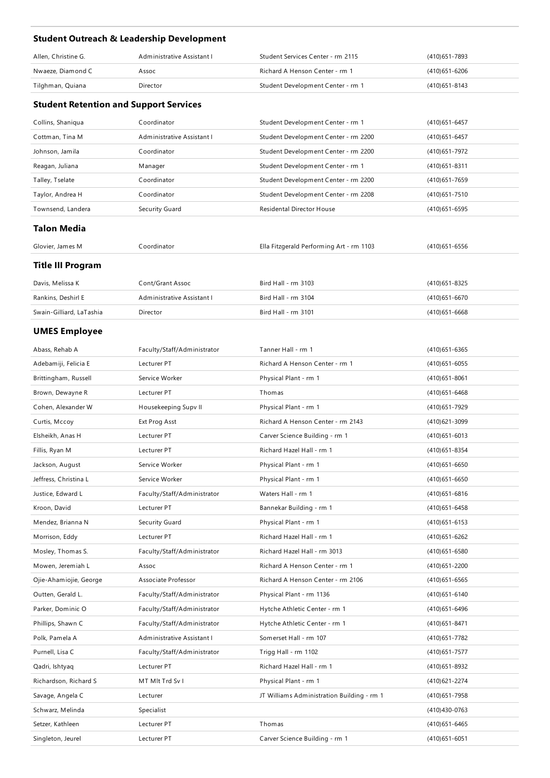## **Student Outreach & Leadership Development**

| Allen, Christine G. | Administrative Assistant I | Student Services Center - rm 2115 | (410) 651 - 7893 |
|---------------------|----------------------------|-----------------------------------|------------------|
| Nwaeze, Diamond C   | Assoc                      | Richard A Henson Center - rm 1    | (410) 651 - 6206 |
| Tilghman, Quiana    | Director                   | Student Development Center - rm 1 | (410)651-8143    |

### **Student Retention and Support Services**

| Collins, Shaniqua  | Coordinator                | Student Development Center - rm 1        | $(410)651 - 6457$ |
|--------------------|----------------------------|------------------------------------------|-------------------|
| Cottman, Tina M    | Administrative Assistant I | Student Development Center - rm 2200     | (410) 651 - 6457  |
| Johnson, Jamila    | Coordinator                | Student Development Center - rm 2200     | (410) 651 - 7972  |
| Reagan, Juliana    | Manager                    | Student Development Center - rm 1        | (410) 651 - 8311  |
| Talley, Tselate    | Coordinator                | Student Development Center - rm 2200     | (410) 651 - 7659  |
| Taylor, Andrea H   | Coordinator                | Student Development Center - rm 2208     | (410) 651 - 7510  |
| Townsend, Landera  | Security Guard             | Residental Director House                | (410) 651-6595    |
| <b>Talon Media</b> |                            |                                          |                   |
| Glovier, James M   | Coordinator                | Ella Fitzgerald Performing Art - rm 1103 | (410) 651-6556    |
|                    |                            |                                          |                   |

### **Title III Program**

| Davis, Melissa K         | Cont/Grant Assoc           | Bird Hall - rm 3103 | (410) 651 - 8325 |
|--------------------------|----------------------------|---------------------|------------------|
| Rankins, Deshirl E       | Administrative Assistant I | Bird Hall - rm 3104 | (410)651-6670    |
| Swain-Gilliard, LaTashia | Director                   | Bird Hall - rm 3101 | (410)651-6668    |

# **UMES Employee**

| Abass, Rehab A         | Faculty/Staff/Administrator | Tanner Hall - rm 1                         | (410) 651-6365    |
|------------------------|-----------------------------|--------------------------------------------|-------------------|
| Adebamiji, Felicia E   | Lecturer PT                 | Richard A Henson Center - rm 1             | $(410)651 - 6055$ |
| Brittingham, Russell   | Service Worker              | Physical Plant - rm 1                      | $(410)651 - 8061$ |
| Brown, Dewayne R       | Lecturer PT                 | Thomas                                     | $(410)651 - 6468$ |
| Cohen, Alexander W     | Housekeeping Supv II        | Physical Plant - rm 1                      | (410) 651 - 7929  |
| Curtis, Mccoy          | Ext Prog Asst               | Richard A Henson Center - rm 2143          | (410) 621 - 3099  |
| Elsheikh, Anas H       | Lecturer PT                 | Carver Science Building - rm 1             | $(410)651 - 6013$ |
| Fillis, Ryan M         | Lecturer PT                 | Richard Hazel Hall - rm 1                  | (410) 651 - 8354  |
| Jackson, August        | Service Worker              | Physical Plant - rm 1                      | $(410)651 - 6650$ |
| Jeffress, Christina L  | Service Worker              | Physical Plant - rm 1                      | $(410)651 - 6650$ |
| Justice, Edward L      | Faculty/Staff/Administrator | Waters Hall - rm 1                         | $(410)651 - 6816$ |
| Kroon, David           | Lecturer PT                 | Bannekar Building - rm 1                   | (410) 651 - 6458  |
| Mendez, Brianna N      | Security Guard              | Physical Plant - rm 1                      | $(410)651 - 6153$ |
| Morrison, Eddy         | Lecturer PT                 | Richard Hazel Hall - rm 1                  | (410) 651 - 6262  |
| Mosley, Thomas S.      | Faculty/Staff/Administrator | Richard Hazel Hall - rm 3013               | $(410)651 - 6580$ |
| Mowen, Jeremiah L      | Assoc                       | Richard A Henson Center - rm 1             | (410) 651 - 2200  |
| Ojie-Ahamiojie, George | Associate Professor         | Richard A Henson Center - rm 2106          | $(410)651 - 6565$ |
| Outten, Gerald L.      | Faculty/Staff/Administrator | Physical Plant - rm 1136                   | (410) 651 - 6140  |
| Parker, Dominic O      | Faculty/Staff/Administrator | Hytche Athletic Center - rm 1              | (410) 651 - 6496  |
| Phillips, Shawn C      | Faculty/Staff/Administrator | Hytche Athletic Center - rm 1              | (410) 651 - 8471  |
| Polk, Pamela A         | Administrative Assistant I  | Somerset Hall - rm 107                     | (410) 651 - 7782  |
| Purnell, Lisa C        | Faculty/Staff/Administrator | Trigg Hall - rm 1102                       | (410) 651 - 7577  |
| Qadri, Ishtyaq         | Lecturer PT                 | Richard Hazel Hall - rm 1                  | (410) 651-8932    |
| Richardson, Richard S  | MT MIt Trd Sv I             | Physical Plant - rm 1                      | (410) 621 - 2274  |
| Savage, Angela C       | Lecturer                    | JT Williams Administration Building - rm 1 | (410) 651 - 7958  |
| Schwarz, Melinda       | Specialist                  |                                            | (410)430-0763     |
| Setzer, Kathleen       | Lecturer PT                 | Thomas                                     | (410) 651-6465    |
| Singleton, Jeurel      | Lecturer PT                 | Carver Science Building - rm 1             | $(410)651 - 6051$ |